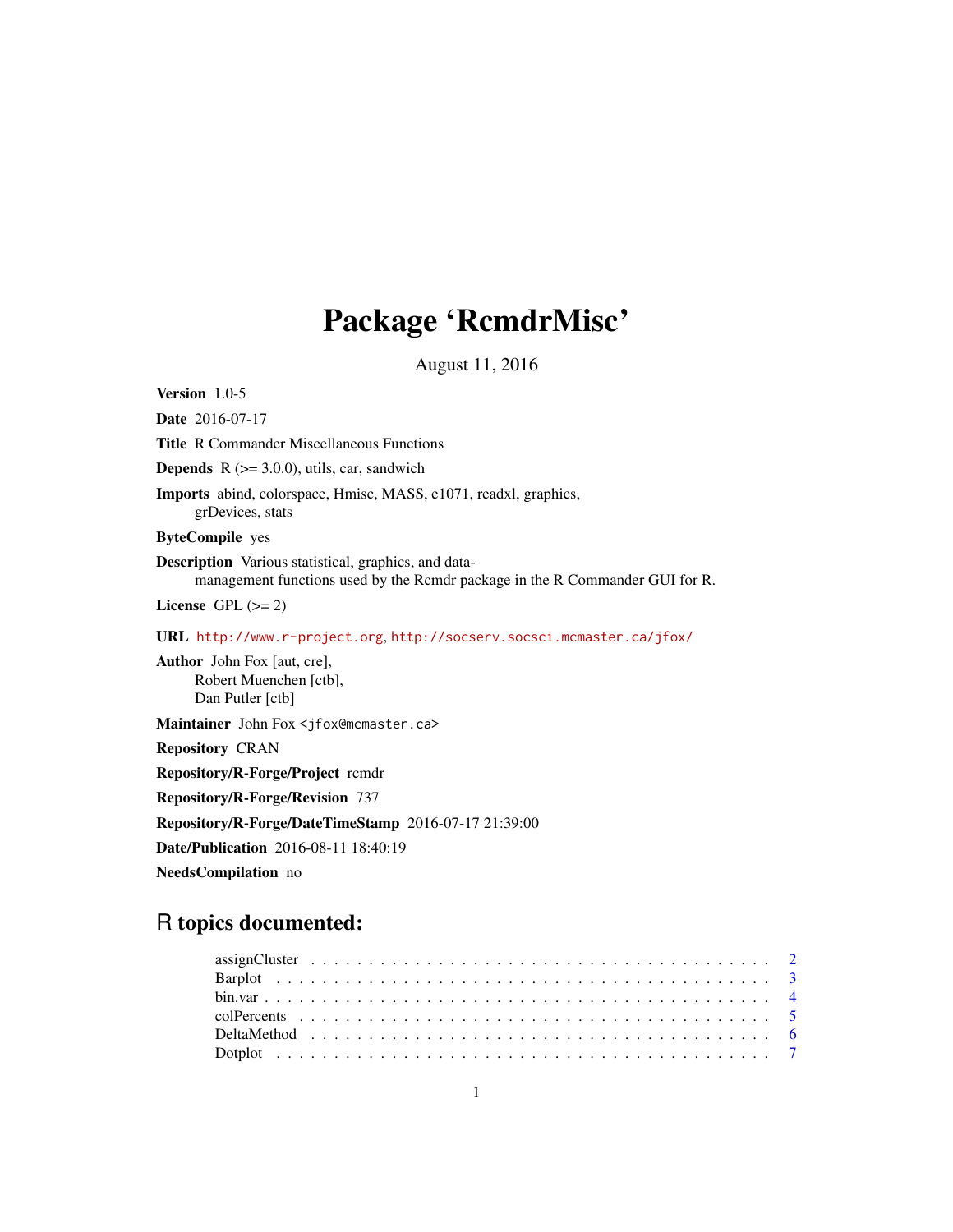## Package 'RcmdrMisc'

August 11, 2016

<span id="page-0-0"></span>Version 1.0-5 Date 2016-07-17 Title R Commander Miscellaneous Functions **Depends**  $R$  ( $>= 3.0.0$ ), utils, car, sandwich Imports abind, colorspace, Hmisc, MASS, e1071, readxl, graphics, grDevices, stats ByteCompile yes Description Various statistical, graphics, and datamanagement functions used by the Rcmdr package in the R Commander GUI for R. License GPL  $(>= 2)$ URL <http://www.r-project.org>, <http://socserv.socsci.mcmaster.ca/jfox/> Author John Fox [aut, cre], Robert Muenchen [ctb], Dan Putler [ctb] Maintainer John Fox <jfox@mcmaster.ca> Repository CRAN Repository/R-Forge/Project rcmdr Repository/R-Forge/Revision 737 Repository/R-Forge/DateTimeStamp 2016-07-17 21:39:00 Date/Publication 2016-08-11 18:40:19 NeedsCompilation no

## R topics documented: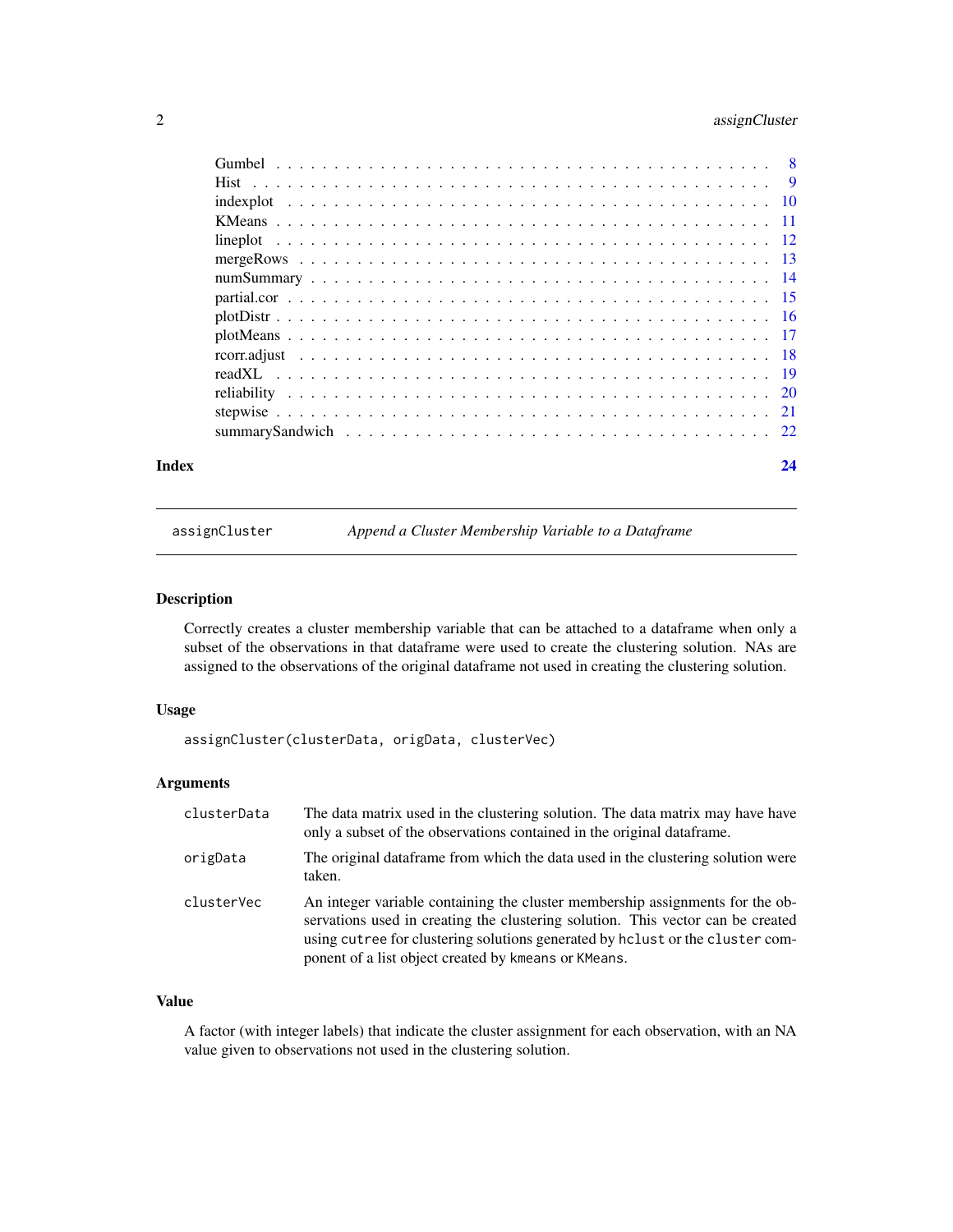### <span id="page-1-0"></span>2 assignCluster

| Index |  |  |  |  |  |  |  |  |  |  |  |  |  |  |  | 24 |
|-------|--|--|--|--|--|--|--|--|--|--|--|--|--|--|--|----|

assignCluster *Append a Cluster Membership Variable to a Dataframe*

### Description

Correctly creates a cluster membership variable that can be attached to a dataframe when only a subset of the observations in that dataframe were used to create the clustering solution. NAs are assigned to the observations of the original dataframe not used in creating the clustering solution.

### Usage

```
assignCluster(clusterData, origData, clusterVec)
```
### Arguments

| clusterData | The data matrix used in the clustering solution. The data matrix may have have<br>only a subset of the observations contained in the original data frame.                                                                                                                                                  |
|-------------|------------------------------------------------------------------------------------------------------------------------------------------------------------------------------------------------------------------------------------------------------------------------------------------------------------|
| origData    | The original dataframe from which the data used in the clustering solution were<br>taken.                                                                                                                                                                                                                  |
| clusterVec  | An integer variable containing the cluster membership assignments for the ob-<br>servations used in creating the clustering solution. This vector can be created<br>using cutree for clustering solutions generated by holiest or the cluster com-<br>ponent of a list object created by kmeans or KMeans. |

### Value

A factor (with integer labels) that indicate the cluster assignment for each observation, with an NA value given to observations not used in the clustering solution.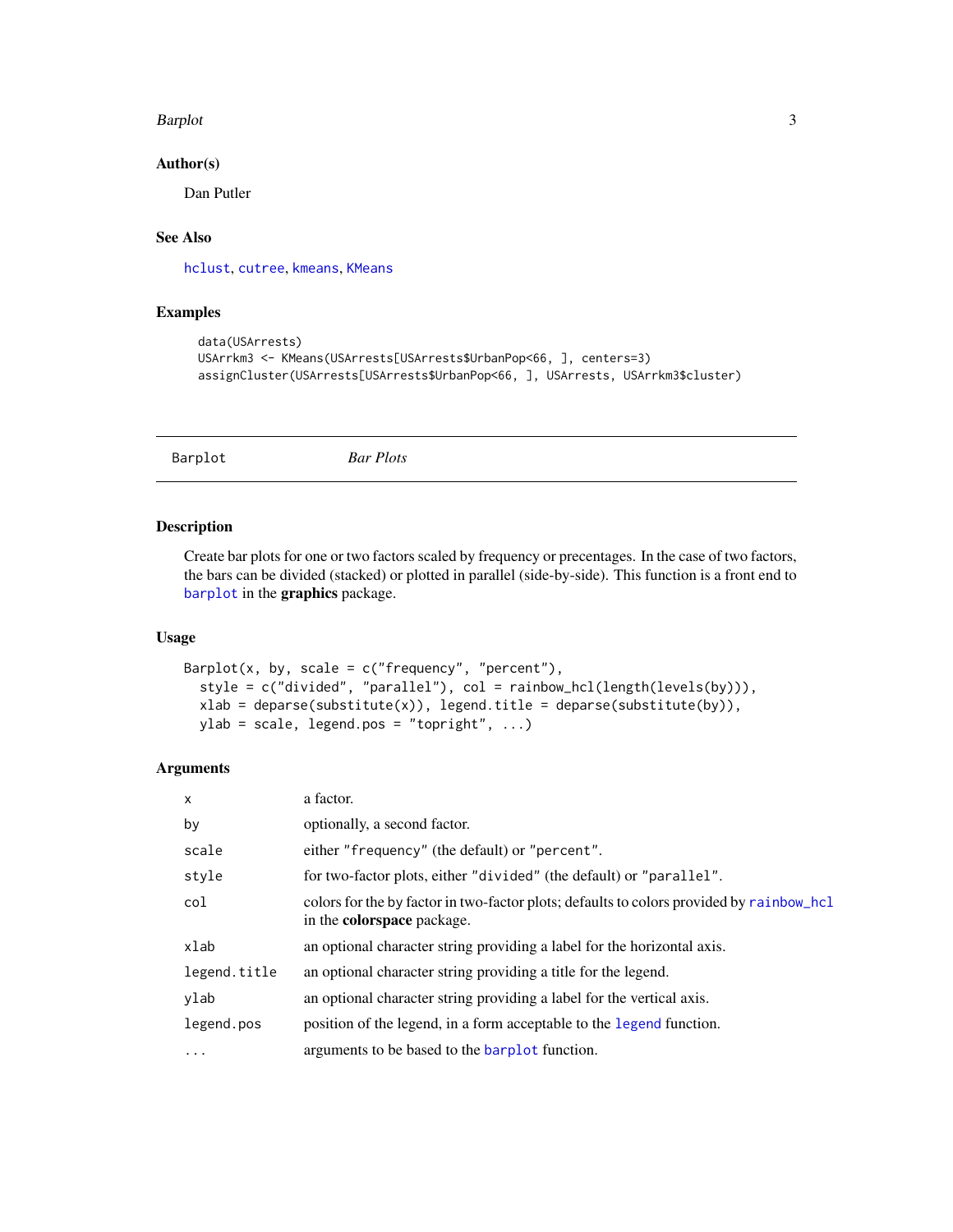#### <span id="page-2-0"></span>Barplot 3

#### Author(s)

Dan Putler

#### See Also

[hclust](#page-0-0), [cutree](#page-0-0), [kmeans](#page-0-0), [KMeans](#page-10-1)

#### Examples

```
data(USArrests)
USArrkm3 <- KMeans(USArrests[USArrests$UrbanPop<66, ], centers=3)
assignCluster(USArrests[USArrests$UrbanPop<66, ], USArrests, USArrkm3$cluster)
```

```
Barplot Bar Plots
```
#### Description

Create bar plots for one or two factors scaled by frequency or precentages. In the case of two factors, the bars can be divided (stacked) or plotted in parallel (side-by-side). This function is a front end to [barplot](#page-0-0) in the graphics package.

### Usage

```
Barplot(x, by, scale = c("frequency", "percent"),style = c("divided", "parallel"), col = rainbow_hcl(length(levels(by))),
  xlab = deparse(substitute(x)), legend.title = deparse(substitute(by)),
 ylab = scale, legend.pos = "topright", ...)
```

| $\mathsf{x}$ | a factor.                                                                                                                     |
|--------------|-------------------------------------------------------------------------------------------------------------------------------|
| by           | optionally, a second factor.                                                                                                  |
| scale        | either "frequency" (the default) or "percent".                                                                                |
| style        | for two-factor plots, either "divided" (the default) or "parallel".                                                           |
| col          | colors for the by factor in two-factor plots; defaults to colors provided by rainbow_hcl<br>in the <b>colorspace</b> package. |
| xlab         | an optional character string providing a label for the horizontal axis.                                                       |
| legend.title | an optional character string providing a title for the legend.                                                                |
| ylab         | an optional character string providing a label for the vertical axis.                                                         |
| legend.pos   | position of the legend, in a form acceptable to the legend function.                                                          |
| $\ddotsc$    | arguments to be based to the <b>barplot</b> function.                                                                         |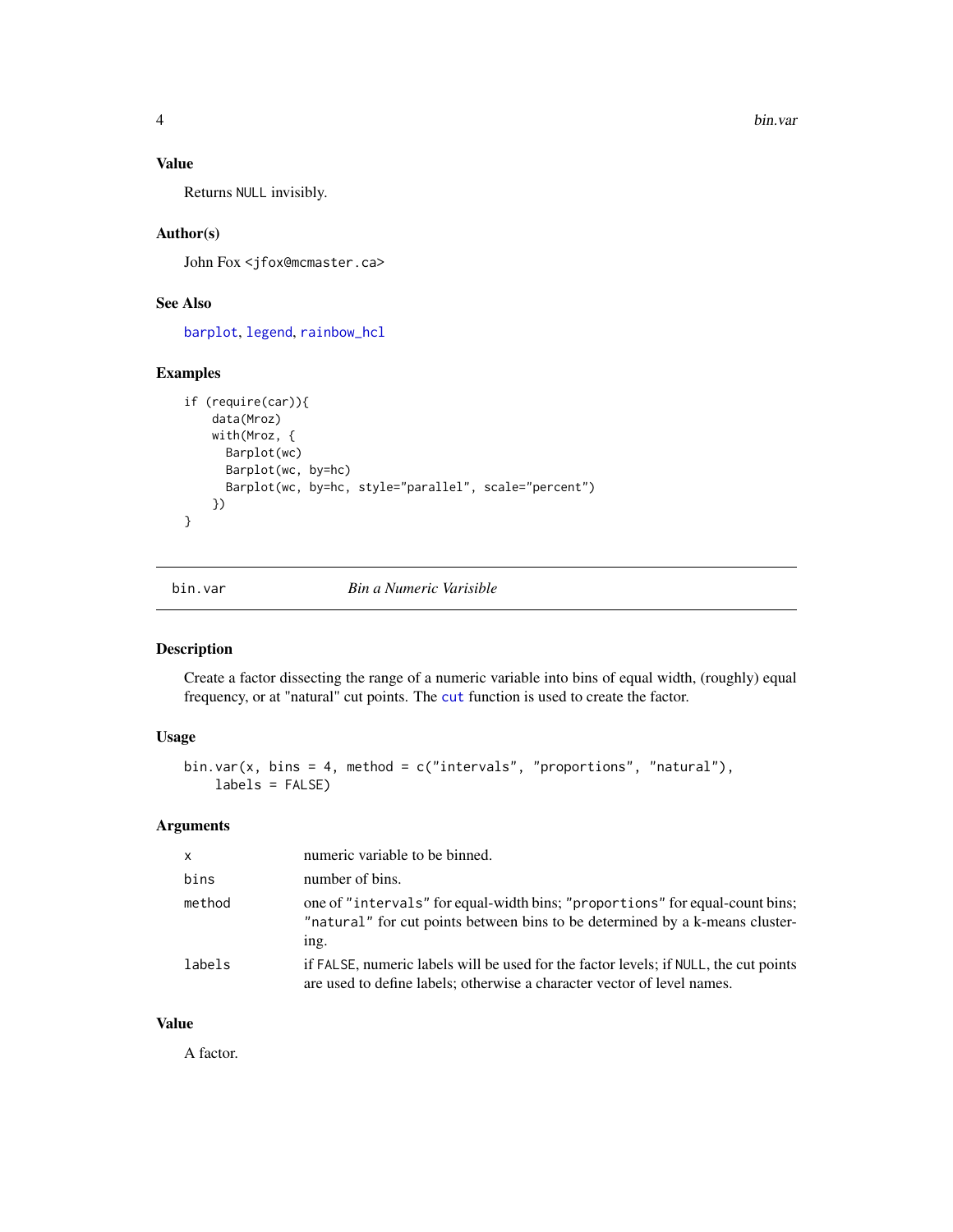### <span id="page-3-0"></span>Value

Returns NULL invisibly.

### Author(s)

John Fox <jfox@mcmaster.ca>

### See Also

[barplot](#page-0-0), [legend](#page-0-0), [rainbow\\_hcl](#page-0-0)

### Examples

```
if (require(car)){
    data(Mroz)
   with(Mroz, {
     Barplot(wc)
     Barplot(wc, by=hc)
     Barplot(wc, by=hc, style="parallel", scale="percent")
   })
}
```
bin.var *Bin a Numeric Varisible*

#### Description

Create a factor dissecting the range of a numeric variable into bins of equal width, (roughly) equal frequency, or at "natural" cut points. The [cut](#page-0-0) function is used to create the factor.

### Usage

```
bin.var(x, bins = 4, method = c("intervals", "proportions", "natural"),labels = FALSE)
```
#### Arguments

| $\mathsf{x}$ | numeric variable to be binned.                                                                                                                                       |
|--------------|----------------------------------------------------------------------------------------------------------------------------------------------------------------------|
| bins         | number of bins.                                                                                                                                                      |
| method       | one of "intervals" for equal-width bins; "proportions" for equal-count bins;<br>"natural" for cut points between bins to be determined by a k-means cluster-<br>ing. |
| labels       | if FALSE, numeric labels will be used for the factor levels; if NULL, the cut points<br>are used to define labels; otherwise a character vector of level names.      |

### Value

A factor.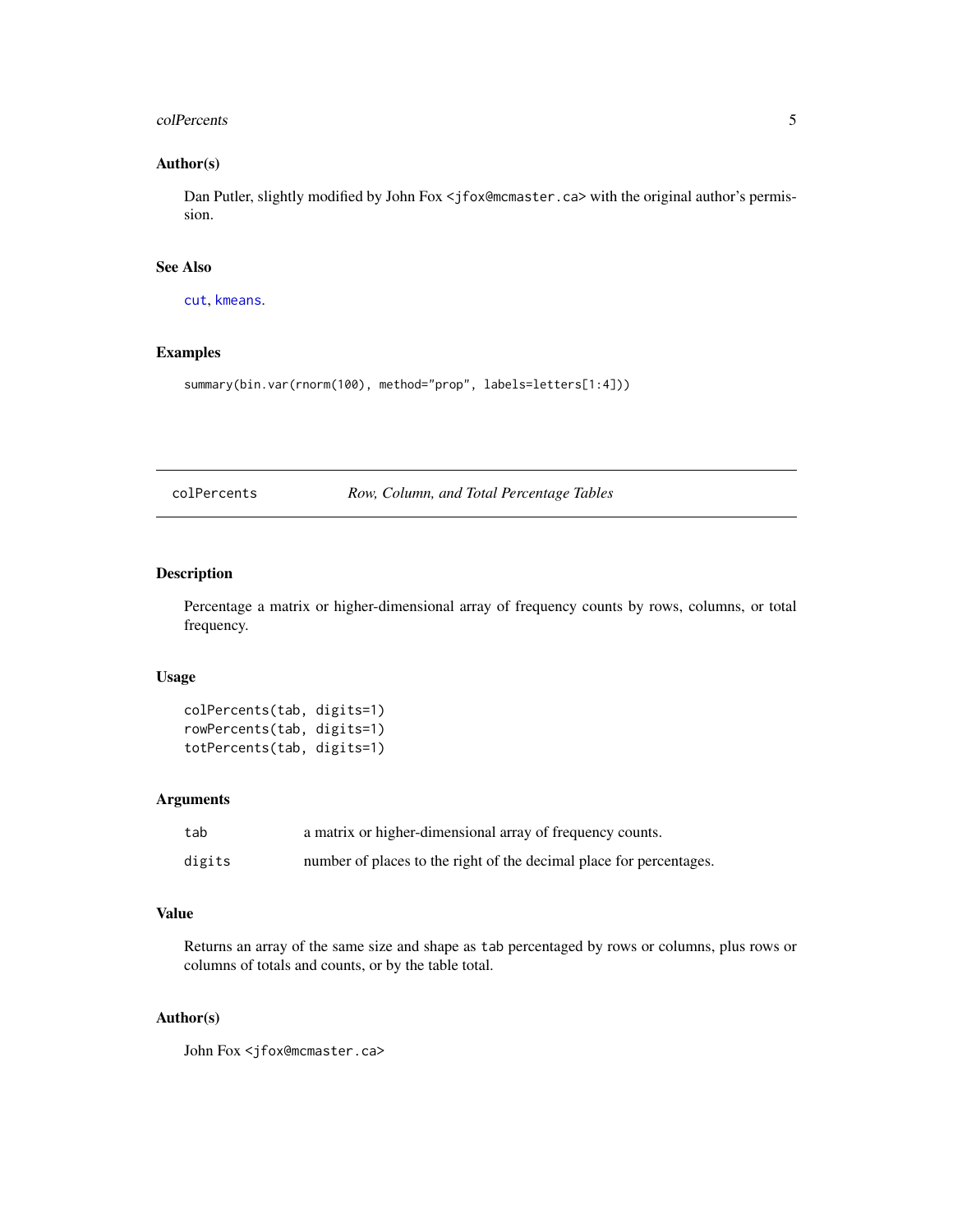#### <span id="page-4-0"></span>colPercents 5

### Author(s)

Dan Putler, slightly modified by John Fox <jfox@mcmaster.ca> with the original author's permission.

#### See Also

[cut](#page-0-0), [kmeans](#page-0-0).

### Examples

summary(bin.var(rnorm(100), method="prop", labels=letters[1:4]))

colPercents *Row, Column, and Total Percentage Tables*

### Description

Percentage a matrix or higher-dimensional array of frequency counts by rows, columns, or total frequency.

#### Usage

```
colPercents(tab, digits=1)
rowPercents(tab, digits=1)
totPercents(tab, digits=1)
```
#### Arguments

| tab    | a matrix or higher-dimensional array of frequency counts.           |
|--------|---------------------------------------------------------------------|
| digits | number of places to the right of the decimal place for percentages. |

#### Value

Returns an array of the same size and shape as tab percentaged by rows or columns, plus rows or columns of totals and counts, or by the table total.

### Author(s)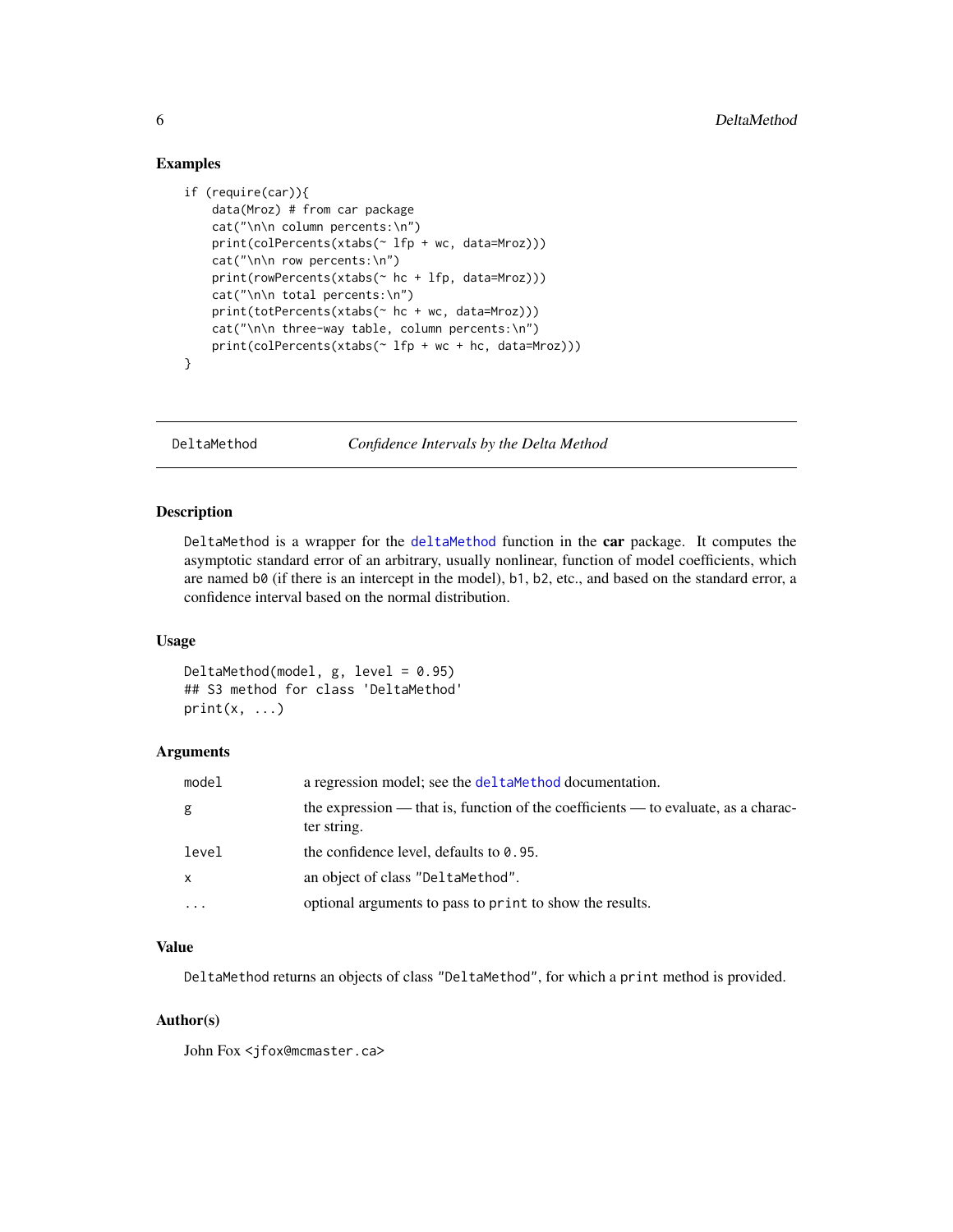#### Examples

```
if (require(car)){
    data(Mroz) # from car package
   cat("\n\n column percents:\n")
   print(colPercents(xtabs(~ lfp + wc, data=Mroz)))
   cat("\n\n row percents:\n")
   print(rowPercents(xtabs(~ hc + lfp, data=Mroz)))
   cat("\n\n total percents:\n")
   print(totPercents(xtabs(~ hc + wc, data=Mroz)))
   cat("\n\n three-way table, column percents:\n")
   print(colPercents(xtabs(~ lfp + wc + hc, data=Mroz)))
}
```
DeltaMethod *Confidence Intervals by the Delta Method*

#### Description

DeltaMethod is a wrapper for the [deltaMethod](#page-0-0) function in the car package. It computes the asymptotic standard error of an arbitrary, usually nonlinear, function of model coefficients, which are named b0 (if there is an intercept in the model), b1, b2, etc., and based on the standard error, a confidence interval based on the normal distribution.

#### Usage

DeltaMethod(model,  $g$ , level = 0.95) ## S3 method for class 'DeltaMethod'  $print(x, \ldots)$ 

### Arguments

| model        | a regression model; see the deltamethod documentation.                                            |
|--------------|---------------------------------------------------------------------------------------------------|
| g            | the expression — that is, function of the coefficients — to evaluate, as a charac-<br>ter string. |
| level        | the confidence level, defaults to $0.95$ .                                                        |
| $\mathsf{x}$ | an object of class "DeltaMethod".                                                                 |
| $\cdot$      | optional arguments to pass to print to show the results.                                          |

#### Value

DeltaMethod returns an objects of class "DeltaMethod", for which a print method is provided.

#### Author(s)

<span id="page-5-0"></span>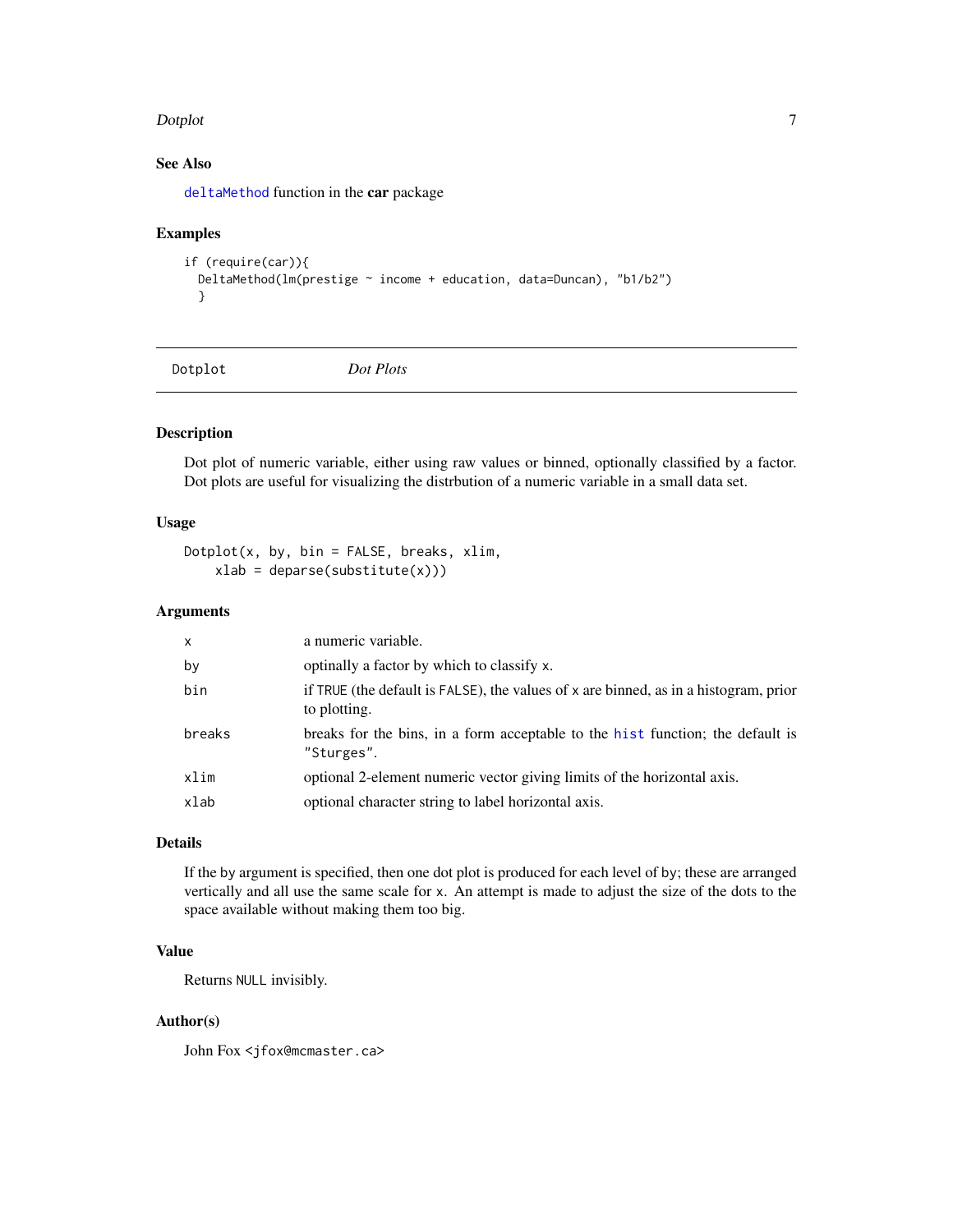#### <span id="page-6-0"></span>Dotplot 7

### See Also

[deltaMethod](#page-0-0) function in the car package

#### Examples

```
if (require(car)){
 DeltaMethod(lm(prestige ~ income + education, data=Duncan), "b1/b2")
 }
```
Dotplot *Dot Plots*

#### Description

Dot plot of numeric variable, either using raw values or binned, optionally classified by a factor. Dot plots are useful for visualizing the distrbution of a numeric variable in a small data set.

### Usage

 $Dotplot(x, by, bin = FALSE, breaks, xlim,$  $x$ lab = deparse(substitute(x)))

#### Arguments

| X      | a numeric variable.                                                                                  |
|--------|------------------------------------------------------------------------------------------------------|
| by     | optinally a factor by which to classify x.                                                           |
| bin    | if TRUE (the default is FALSE), the values of x are binned, as in a histogram, prior<br>to plotting. |
| breaks | breaks for the bins, in a form acceptable to the hist function; the default is<br>"Sturges".         |
| xlim   | optional 2-element numeric vector giving limits of the horizontal axis.                              |
| xlab   | optional character string to label horizontal axis.                                                  |
|        |                                                                                                      |

### Details

If the by argument is specified, then one dot plot is produced for each level of by; these are arranged vertically and all use the same scale for x. An attempt is made to adjust the size of the dots to the space available without making them too big.

### Value

Returns NULL invisibly.

#### Author(s)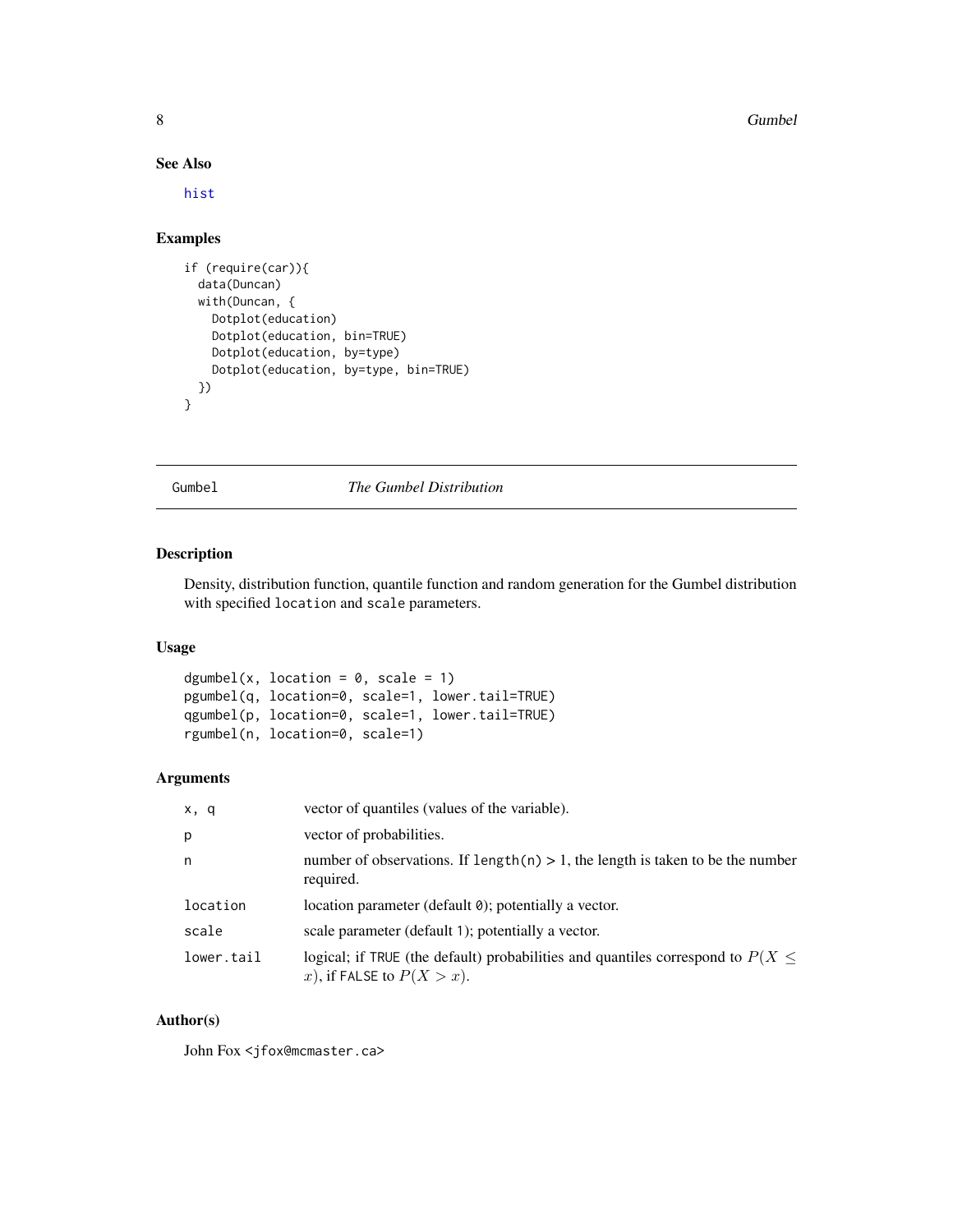#### 8 Gumbel and the contract of the contract of the contract of the contract of the contract of the contract of the contract of the contract of the contract of the contract of the contract of the contract of the contract of t

### See Also

[hist](#page-0-0)

### Examples

```
if (require(car)){
 data(Duncan)
 with(Duncan, {
   Dotplot(education)
   Dotplot(education, bin=TRUE)
   Dotplot(education, by=type)
   Dotplot(education, by=type, bin=TRUE)
 })
}
```
Gumbel *The Gumbel Distribution*

#### Description

Density, distribution function, quantile function and random generation for the Gumbel distribution with specified location and scale parameters.

#### Usage

```
dgumbel(x, location = 0, scale = 1)
pgumbel(q, location=0, scale=1, lower.tail=TRUE)
qgumbel(p, location=0, scale=1, lower.tail=TRUE)
rgumbel(n, location=0, scale=1)
```
### Arguments

| x, q       | vector of quantiles (values of the variable).                                                                       |
|------------|---------------------------------------------------------------------------------------------------------------------|
| p          | vector of probabilities.                                                                                            |
| n          | number of observations. If $length(n) > 1$ , the length is taken to be the number<br>required.                      |
| location   | location parameter (default 0); potentially a vector.                                                               |
| scale      | scale parameter (default 1); potentially a vector.                                                                  |
| lower.tail | logical; if TRUE (the default) probabilities and quantiles correspond to $P(X \leq$<br>x), if FALSE to $P(X > x)$ . |

### Author(s)

<span id="page-7-0"></span>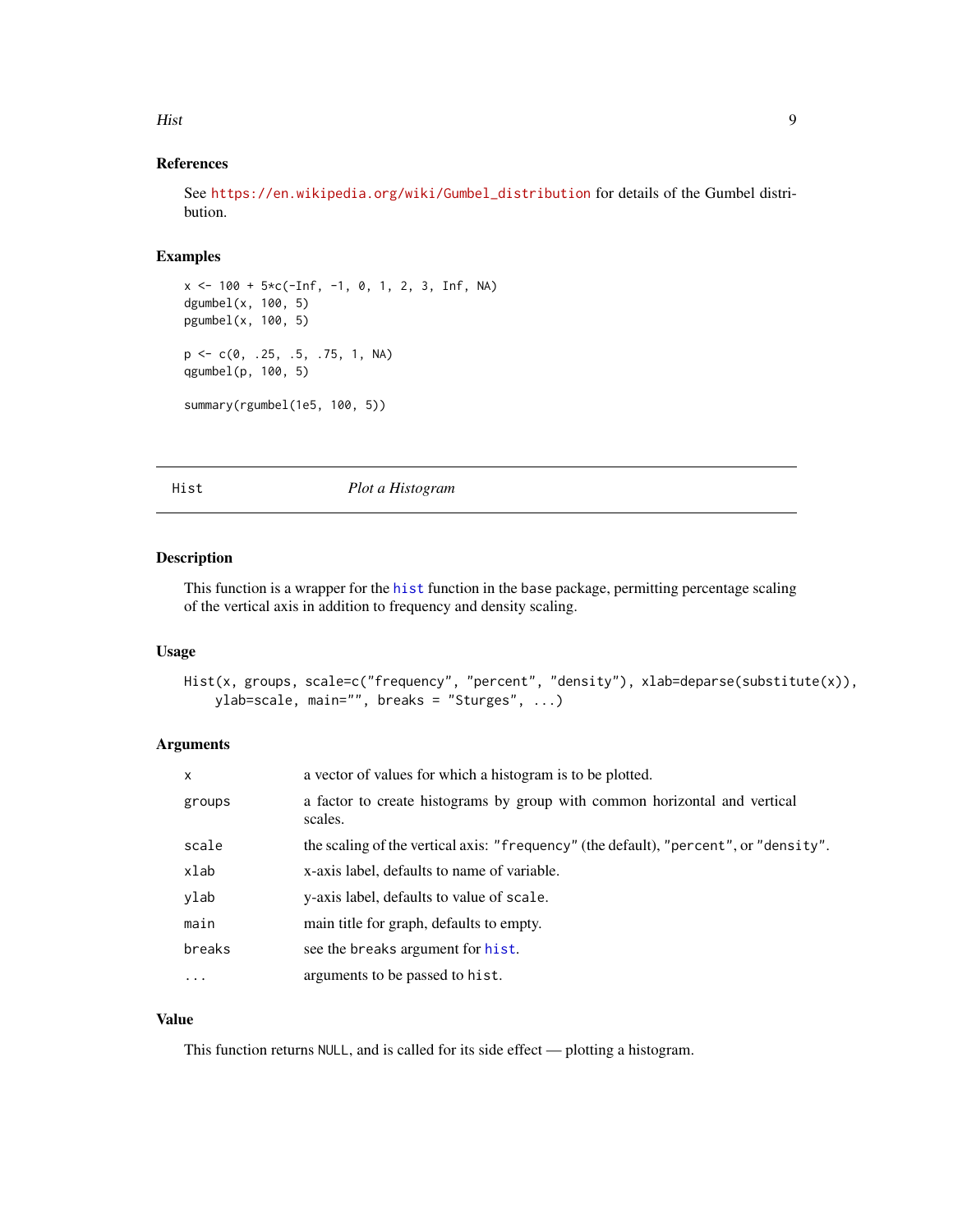#### <span id="page-8-0"></span>Hist 9

### References

See [https://en.wikipedia.org/wiki/Gumbel\\_distribution](https://en.wikipedia.org/wiki/Gumbel_distribution) for details of the Gumbel distribution.

### Examples

```
x \le -100 + 5 \times c(-\text{Inf}, -1, 0, 1, 2, 3, \text{Inf}, \text{NA})dgumbel(x, 100, 5)
pgumbel(x, 100, 5)
p <- c(0, .25, .5, .75, 1, NA)
qgumbel(p, 100, 5)
summary(rgumbel(1e5, 100, 5))
```
Hist *Plot a Histogram*

#### Description

This function is a wrapper for the [hist](#page-0-0) function in the base package, permitting percentage scaling of the vertical axis in addition to frequency and density scaling.

#### Usage

```
Hist(x, groups, scale=c("frequency", "percent", "density"), xlab=deparse(substitute(x)),
    ylab=scale, main="", breaks = "Sturges", ...)
```
### Arguments

| X        | a vector of values for which a histogram is to be plotted.                            |
|----------|---------------------------------------------------------------------------------------|
| groups   | a factor to create histograms by group with common horizontal and vertical<br>scales. |
| scale    | the scaling of the vertical axis: "frequency" (the default), "percent", or "density". |
| xlab     | x-axis label, defaults to name of variable.                                           |
| ylab     | y-axis label, defaults to value of scale.                                             |
| main     | main title for graph, defaults to empty.                                              |
| breaks   | see the breaks argument for hist.                                                     |
| $\cdots$ | arguments to be passed to hist.                                                       |

### Value

This function returns NULL, and is called for its side effect — plotting a histogram.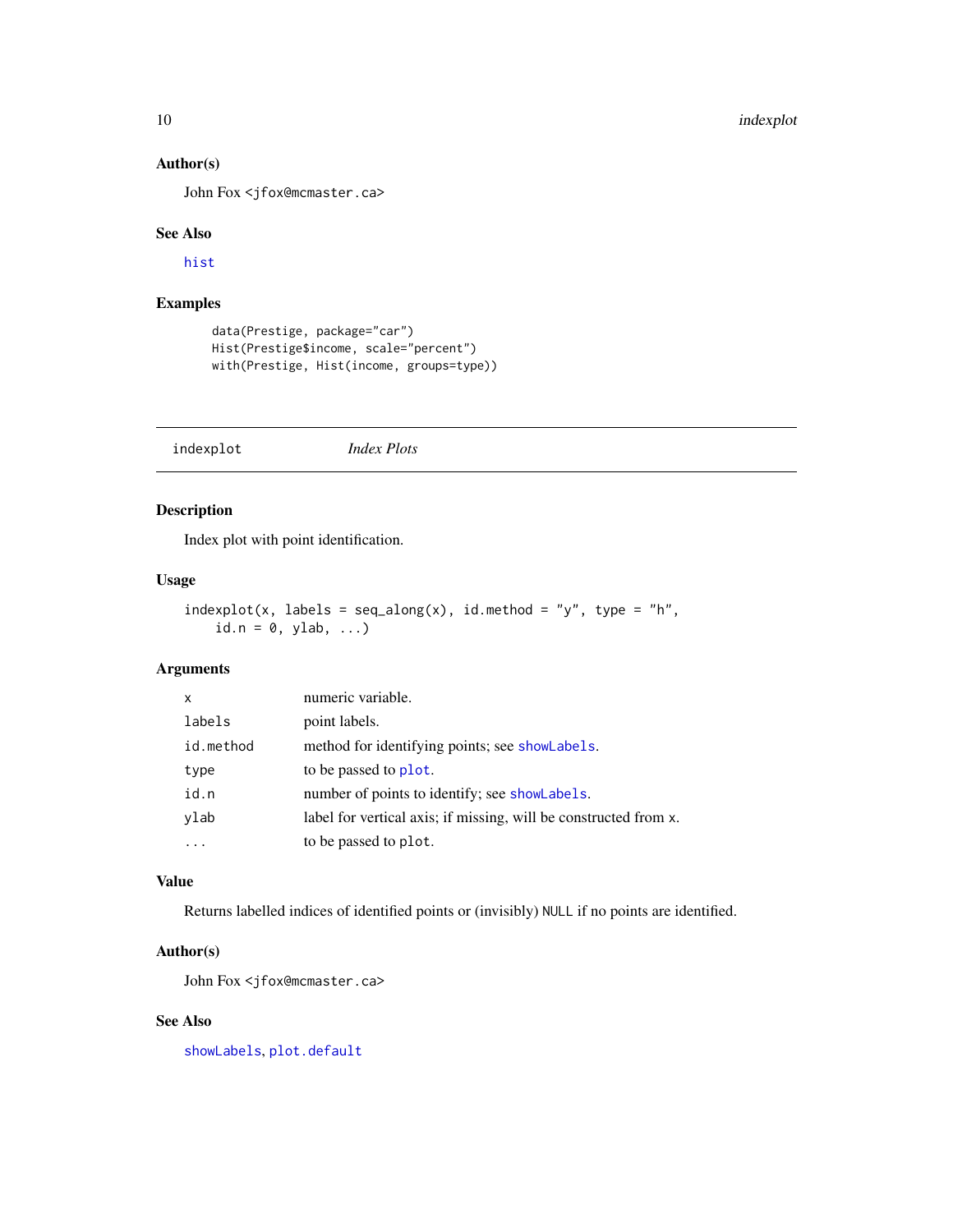### Author(s)

John Fox <jfox@mcmaster.ca>

#### See Also

[hist](#page-0-0)

### Examples

```
data(Prestige, package="car")
Hist(Prestige$income, scale="percent")
with(Prestige, Hist(income, groups=type))
```
indexplot *Index Plots*

### Description

Index plot with point identification.

#### Usage

```
indexplot(x, labels = seq_along(x), id. method = "y", type = "h",id.n = 0, ylab, ...)
```
### Arguments

| X         | numeric variable.                                                |
|-----------|------------------------------------------------------------------|
| labels    | point labels.                                                    |
| id.method | method for identifying points; see showLabels.                   |
| type      | to be passed to plot.                                            |
| id.n      | number of points to identify; see showLabels.                    |
| ylab      | label for vertical axis; if missing, will be constructed from x. |
|           | to be passed to plot.                                            |

### Value

Returns labelled indices of identified points or (invisibly) NULL if no points are identified.

### Author(s)

John Fox <jfox@mcmaster.ca>

### See Also

[showLabels](#page-0-0), [plot.default](#page-0-0)

<span id="page-9-0"></span>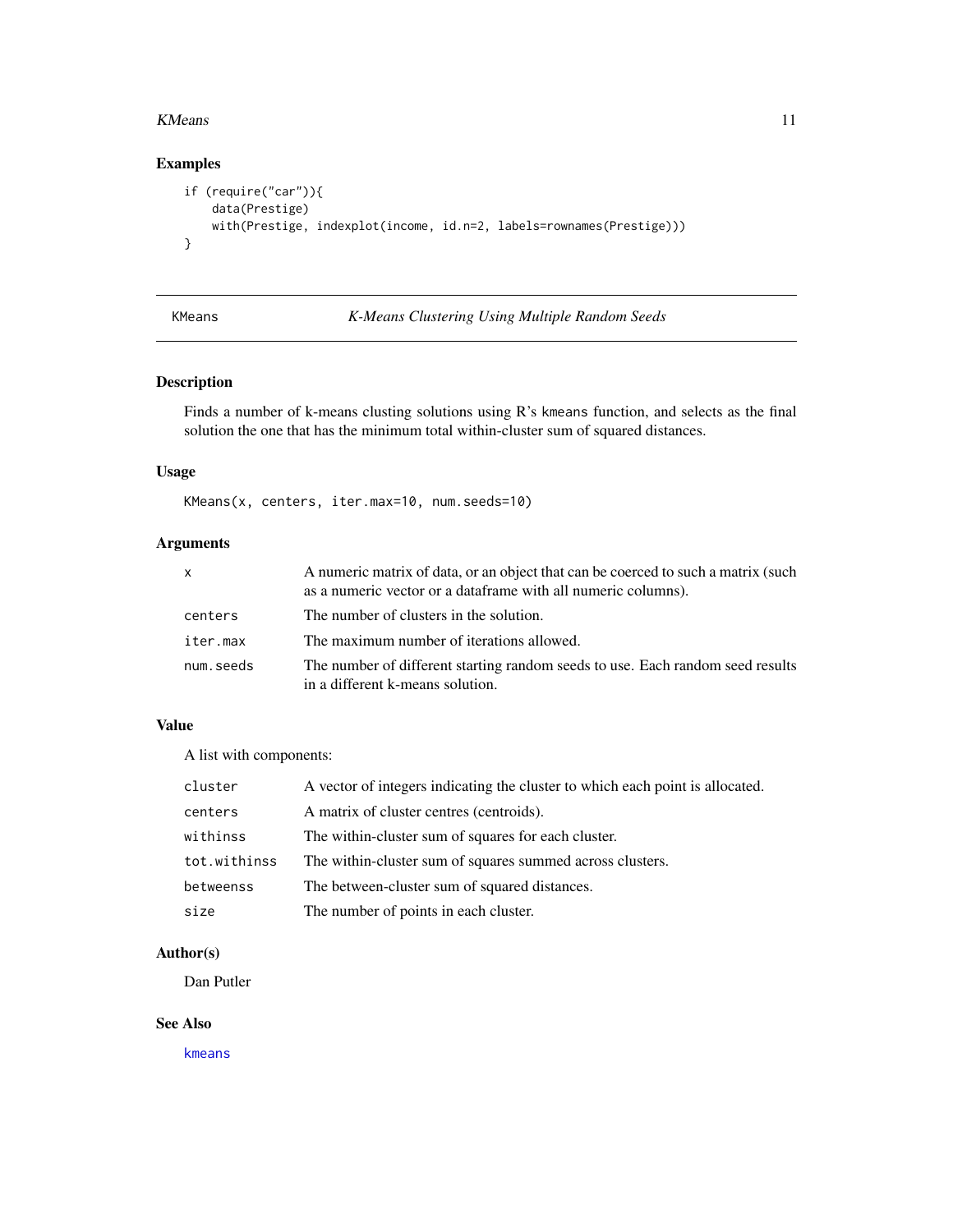#### <span id="page-10-0"></span>KMeans 11

### Examples

```
if (require("car")){
   data(Prestige)
   with(Prestige, indexplot(income, id.n=2, labels=rownames(Prestige)))
}
```
### <span id="page-10-1"></span>KMeans *K-Means Clustering Using Multiple Random Seeds*

### Description

Finds a number of k-means clusting solutions using R's kmeans function, and selects as the final solution the one that has the minimum total within-cluster sum of squared distances.

#### Usage

KMeans(x, centers, iter.max=10, num.seeds=10)

### Arguments

| X         | A numeric matrix of data, or an object that can be coerced to such a matrix (such<br>as a numeric vector or a dataframe with all numeric columns). |
|-----------|----------------------------------------------------------------------------------------------------------------------------------------------------|
| centers   | The number of clusters in the solution.                                                                                                            |
| iter.max  | The maximum number of iterations allowed.                                                                                                          |
| num.seeds | The number of different starting random seeds to use. Each random seed results<br>in a different k-means solution.                                 |

### Value

A list with components:

| cluster      | A vector of integers indicating the cluster to which each point is allocated. |
|--------------|-------------------------------------------------------------------------------|
| centers      | A matrix of cluster centres (centroids).                                      |
| withinss     | The within-cluster sum of squares for each cluster.                           |
| tot.withinss | The within-cluster sum of squares summed across clusters.                     |
| betweenss    | The between-cluster sum of squared distances.                                 |
| size         | The number of points in each cluster.                                         |

#### Author(s)

Dan Putler

#### See Also

[kmeans](#page-0-0)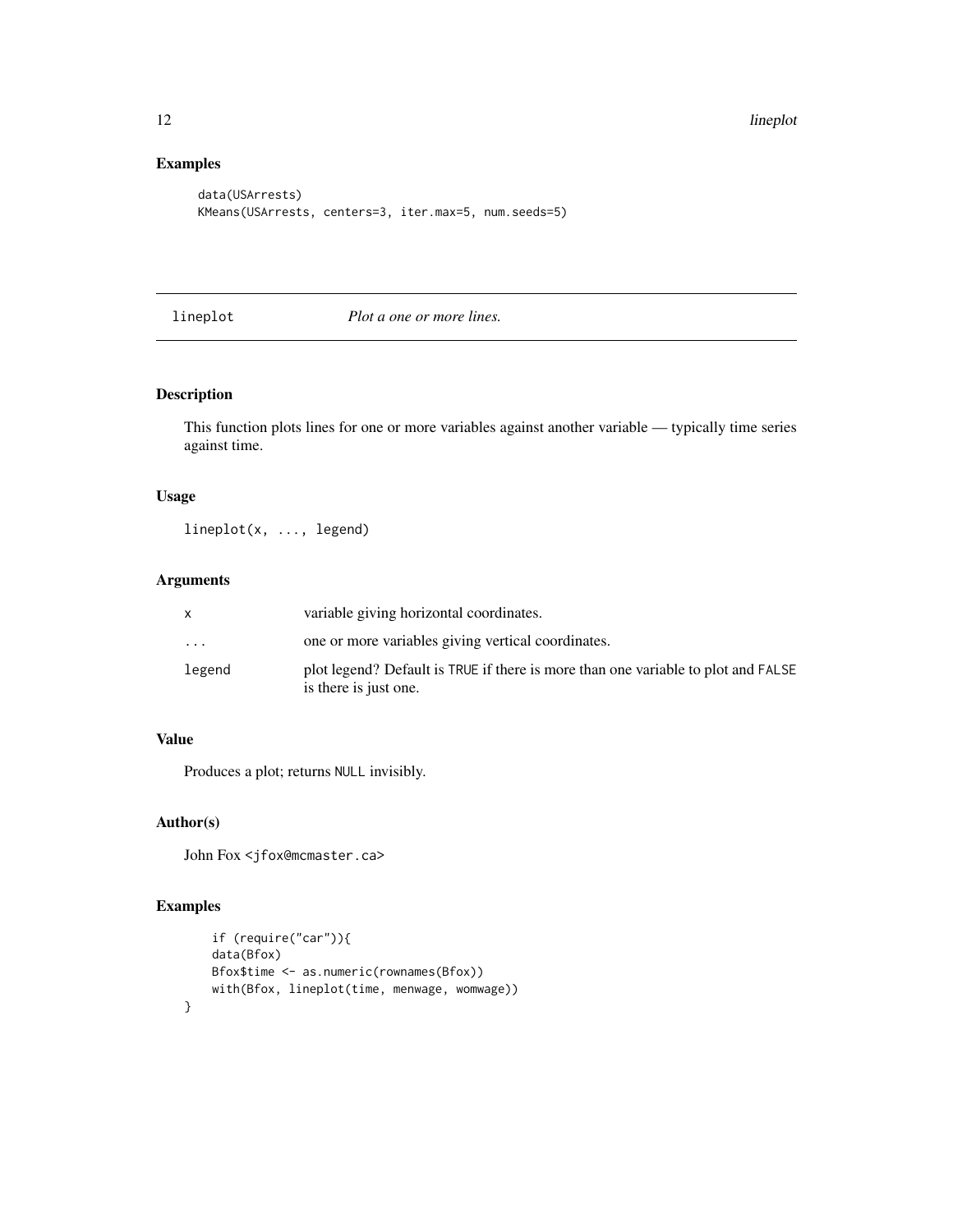### Examples

```
data(USArrests)
KMeans(USArrests, centers=3, iter.max=5, num.seeds=5)
```
lineplot *Plot a one or more lines.*

### Description

This function plots lines for one or more variables against another variable — typically time series against time.

### Usage

lineplot(x, ..., legend)

### Arguments

|           | variable giving horizontal coordinates.                                                                    |
|-----------|------------------------------------------------------------------------------------------------------------|
| $\ddotsc$ | one or more variables giving vertical coordinates.                                                         |
| legend    | plot legend? Default is TRUE if there is more than one variable to plot and FALSE<br>is there is just one. |

#### Value

Produces a plot; returns NULL invisibly.

#### Author(s)

John Fox <jfox@mcmaster.ca>

### Examples

}

```
if (require("car")){
data(Bfox)
Bfox$time <- as.numeric(rownames(Bfox))
with(Bfox, lineplot(time, menwage, womwage))
```
<span id="page-11-0"></span>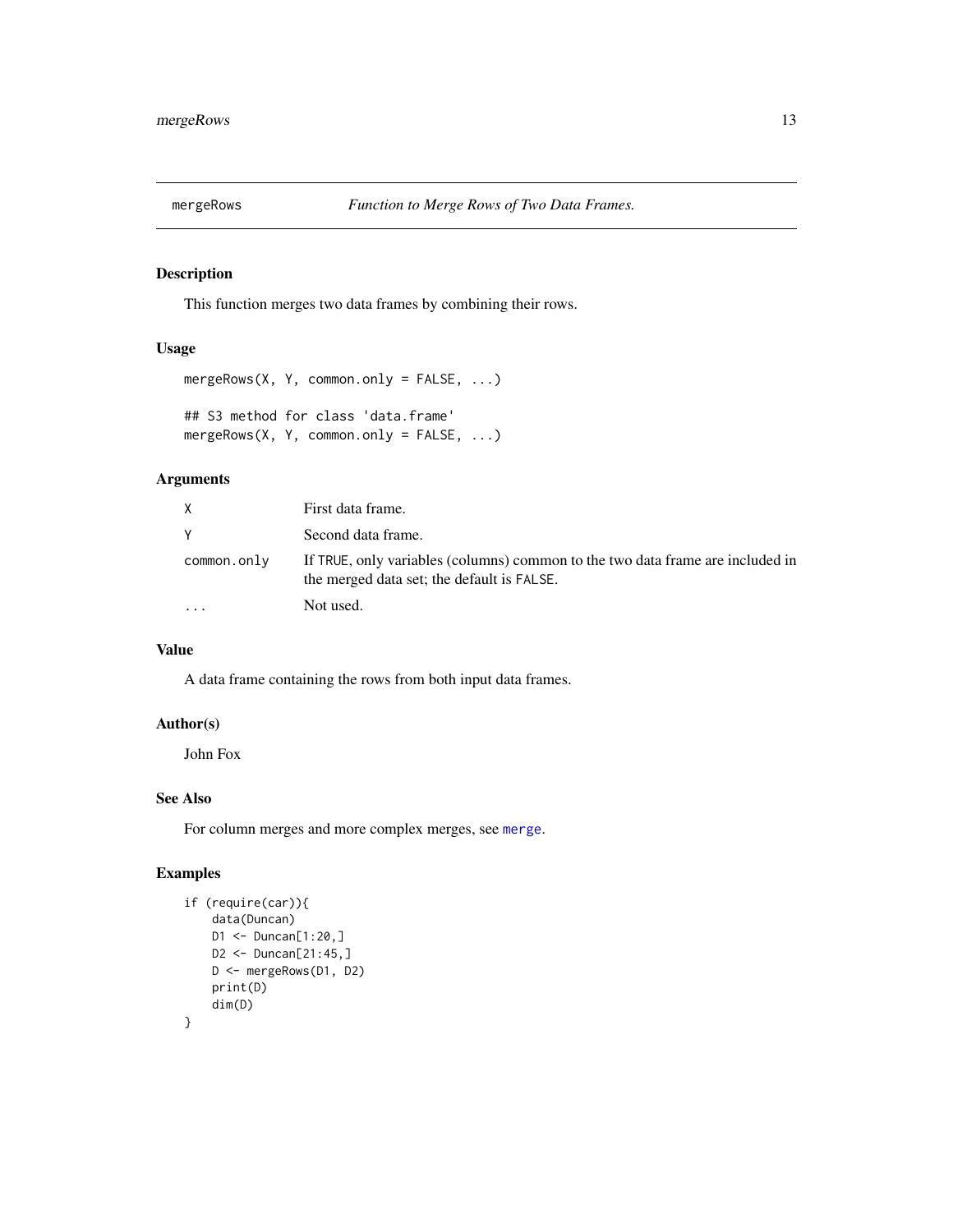<span id="page-12-0"></span>

### Description

This function merges two data frames by combining their rows.

#### Usage

```
mergeRows(X, Y, common.only = FALSE, ...)
## S3 method for class 'data.frame'
mergeRows(X, Y, common.only = FALSE, ...)
```
### Arguments

|             | First data frame.                                                                                                            |
|-------------|------------------------------------------------------------------------------------------------------------------------------|
|             | Second data frame.                                                                                                           |
| common.only | If TRUE, only variables (columns) common to the two data frame are included in<br>the merged data set; the default is FALSE. |
| $\ddotsc$   | Not used.                                                                                                                    |

### Value

A data frame containing the rows from both input data frames.

### Author(s)

John Fox

### See Also

For column merges and more complex merges, see [merge](#page-0-0).

### Examples

```
if (require(car)){
   data(Duncan)
   D1 <- Duncan[1:20,]
   D2 <- Duncan[21:45,]
   D <- mergeRows(D1, D2)
   print(D)
   dim(D)
}
```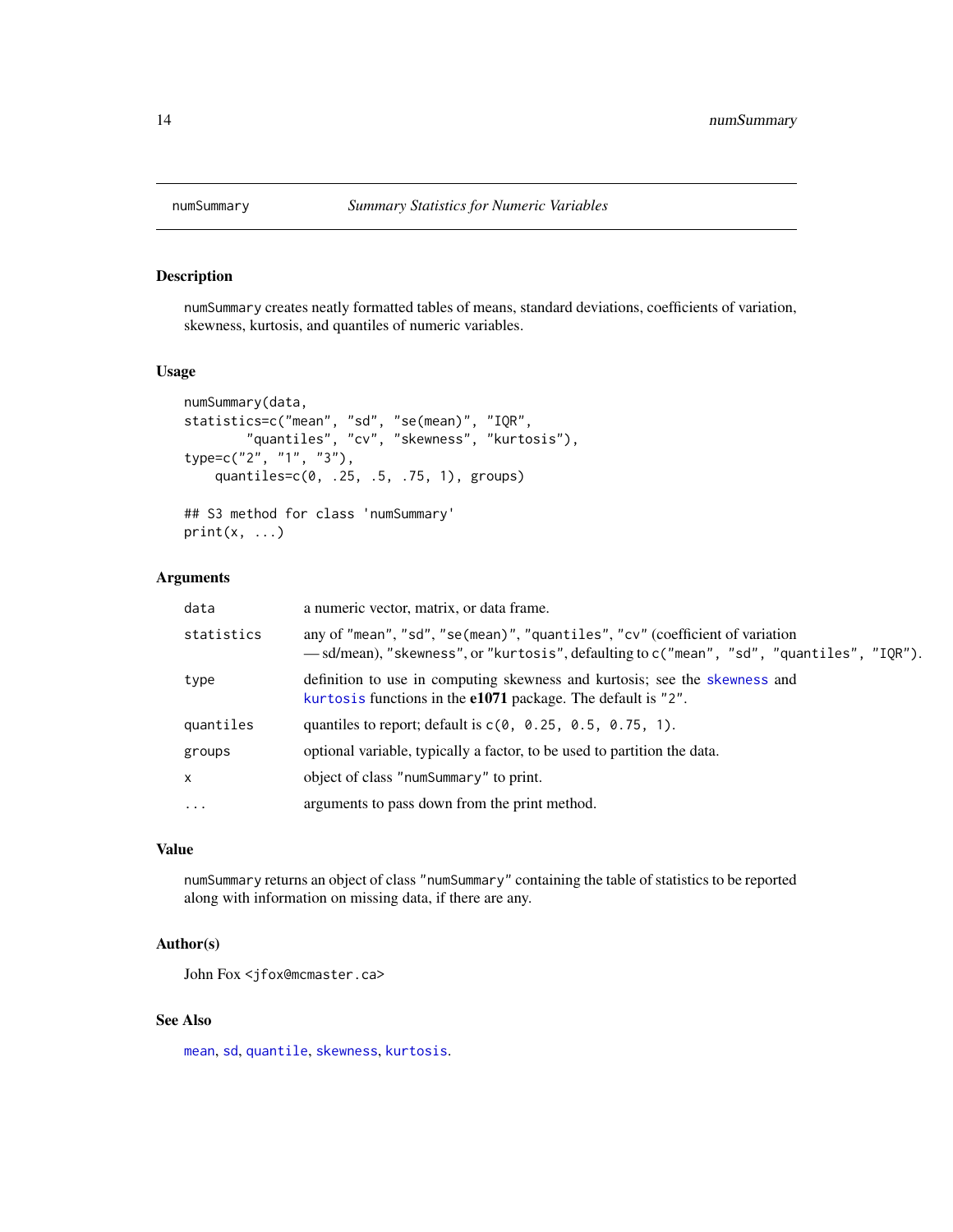<span id="page-13-0"></span>

#### Description

numSummary creates neatly formatted tables of means, standard deviations, coefficients of variation, skewness, kurtosis, and quantiles of numeric variables.

#### Usage

```
numSummary(data,
statistics=c("mean", "sd", "se(mean)", "IQR",
        "quantiles", "cv", "skewness", "kurtosis"),
type=c("2", "1", "3"),
   quantiles=c(0, .25, .5, .75, 1), groups)
## S3 method for class 'numSummary'
print(x, \ldots)
```
### Arguments

| data       | a numeric vector, matrix, or data frame.                                                                                                                                  |
|------------|---------------------------------------------------------------------------------------------------------------------------------------------------------------------------|
| statistics | any of "mean", "sd", "se(mean)", "quantiles", "cv" (coefficient of variation<br>— sd/mean), "skewness", or "kurtosis", defaulting to c("mean", "sd", "quantiles", "IQR"). |
| type       | definition to use in computing skewness and kurtosis; see the skewness and<br>kurtosis functions in the e1071 package. The default is "2".                                |
| quantiles  | quantiles to report; default is $c(0, 0.25, 0.5, 0.75, 1)$ .                                                                                                              |
| groups     | optional variable, typically a factor, to be used to partition the data.                                                                                                  |
| X          | object of class "numSummary" to print.                                                                                                                                    |
| $\cdots$   | arguments to pass down from the print method.                                                                                                                             |

#### Value

numSummary returns an object of class "numSummary" containing the table of statistics to be reported along with information on missing data, if there are any.

#### Author(s)

John Fox <jfox@mcmaster.ca>

### See Also

[mean](#page-0-0), [sd](#page-0-0), [quantile](#page-0-0), [skewness](#page-0-0), [kurtosis](#page-0-0).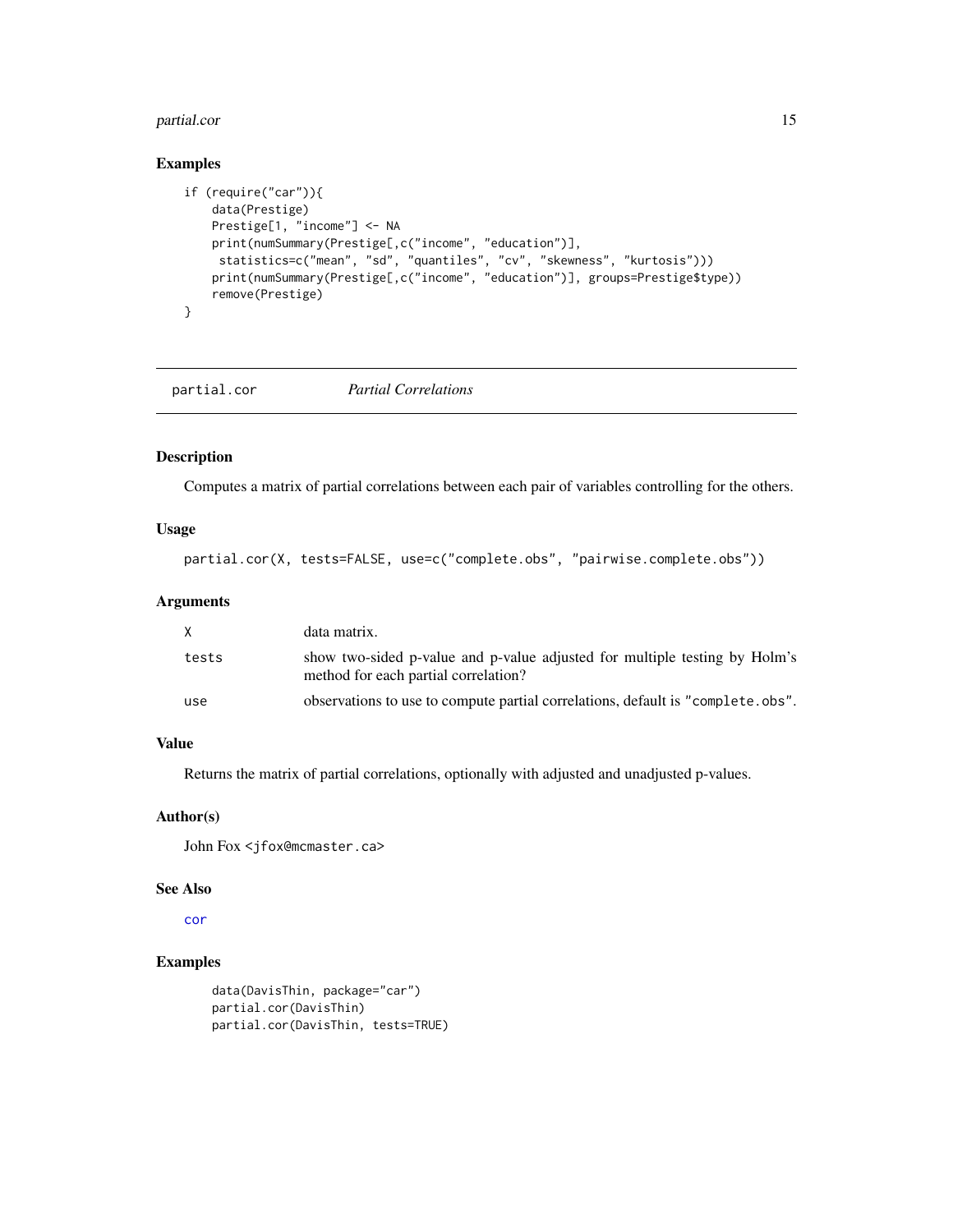#### <span id="page-14-0"></span>partial.cor and the contract of the contract of the contract of the contract of the contract of the contract of the contract of the contract of the contract of the contract of the contract of the contract of the contract o

### Examples

```
if (require("car")){
   data(Prestige)
   Prestige[1, "income"] <- NA
   print(numSummary(Prestige[,c("income", "education")],
    statistics=c("mean", "sd", "quantiles", "cv", "skewness", "kurtosis")))
   print(numSummary(Prestige[,c("income", "education")], groups=Prestige$type))
   remove(Prestige)
}
```
partial.cor *Partial Correlations*

#### Description

Computes a matrix of partial correlations between each pair of variables controlling for the others.

#### Usage

```
partial.cor(X, tests=FALSE, use=c("complete.obs", "pairwise.complete.obs"))
```
### Arguments

| X.    | data matrix.                                                                                                       |
|-------|--------------------------------------------------------------------------------------------------------------------|
| tests | show two-sided p-value and p-value adjusted for multiple testing by Holm's<br>method for each partial correlation? |
| use   | observations to use to compute partial correlations, default is "complete.obs".                                    |

#### Value

Returns the matrix of partial correlations, optionally with adjusted and unadjusted p-values.

#### Author(s)

John Fox <jfox@mcmaster.ca>

#### See Also

[cor](#page-0-0)

### Examples

```
data(DavisThin, package="car")
partial.cor(DavisThin)
partial.cor(DavisThin, tests=TRUE)
```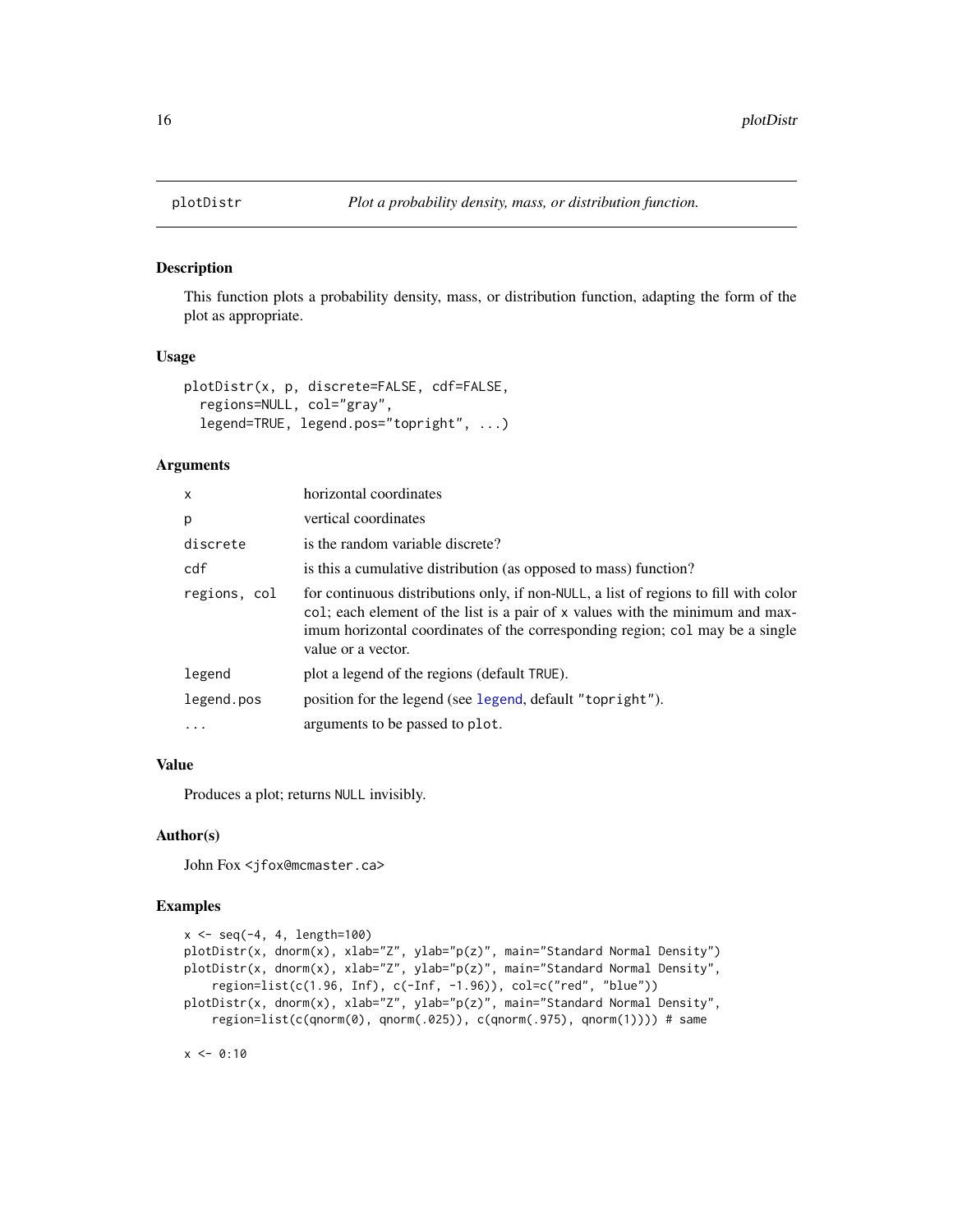#### Description

This function plots a probability density, mass, or distribution function, adapting the form of the plot as appropriate.

#### Usage

```
plotDistr(x, p, discrete=FALSE, cdf=FALSE,
  regions=NULL, col="gray",
  legend=TRUE, legend.pos="topright", ...)
```
#### Arguments

| X            | horizontal coordinates                                                                                                                                                                                                                                                      |
|--------------|-----------------------------------------------------------------------------------------------------------------------------------------------------------------------------------------------------------------------------------------------------------------------------|
| p            | vertical coordinates                                                                                                                                                                                                                                                        |
| discrete     | is the random variable discrete?                                                                                                                                                                                                                                            |
| cdf          | is this a cumulative distribution (as opposed to mass) function?                                                                                                                                                                                                            |
| regions, col | for continuous distributions only, if non-NULL, a list of regions to fill with color<br>col; each element of the list is a pair of x values with the minimum and max-<br>imum horizontal coordinates of the corresponding region; col may be a single<br>value or a vector. |
| legend       | plot a legend of the regions (default TRUE).                                                                                                                                                                                                                                |
| legend.pos   | position for the legend (see legend, default "topright").                                                                                                                                                                                                                   |
|              | arguments to be passed to plot.                                                                                                                                                                                                                                             |

#### Value

Produces a plot; returns NULL invisibly.

#### Author(s)

John Fox <jfox@mcmaster.ca>

### Examples

```
x \le - seq(-4, 4, length=100)
plotDistr(x, dnorm(x), xlab="Z", ylab="p(z)", main="Standard Normal Density")
plotDistr(x, dnorm(x), xlab="Z", ylab="p(z)", main="Standard Normal Density",
    region=list(c(1.96, Inf), c(-Inf, -1.96)), col=c("red", "blue"))
plotDistr(x, dnorm(x), xlab="Z", ylab="p(z)", main="Standard Normal Density",
    region=list(c(qnorm(0), qnorm(.025)), c(qnorm(.975), qnorm(1)))) # same
```
 $x \le -0:10$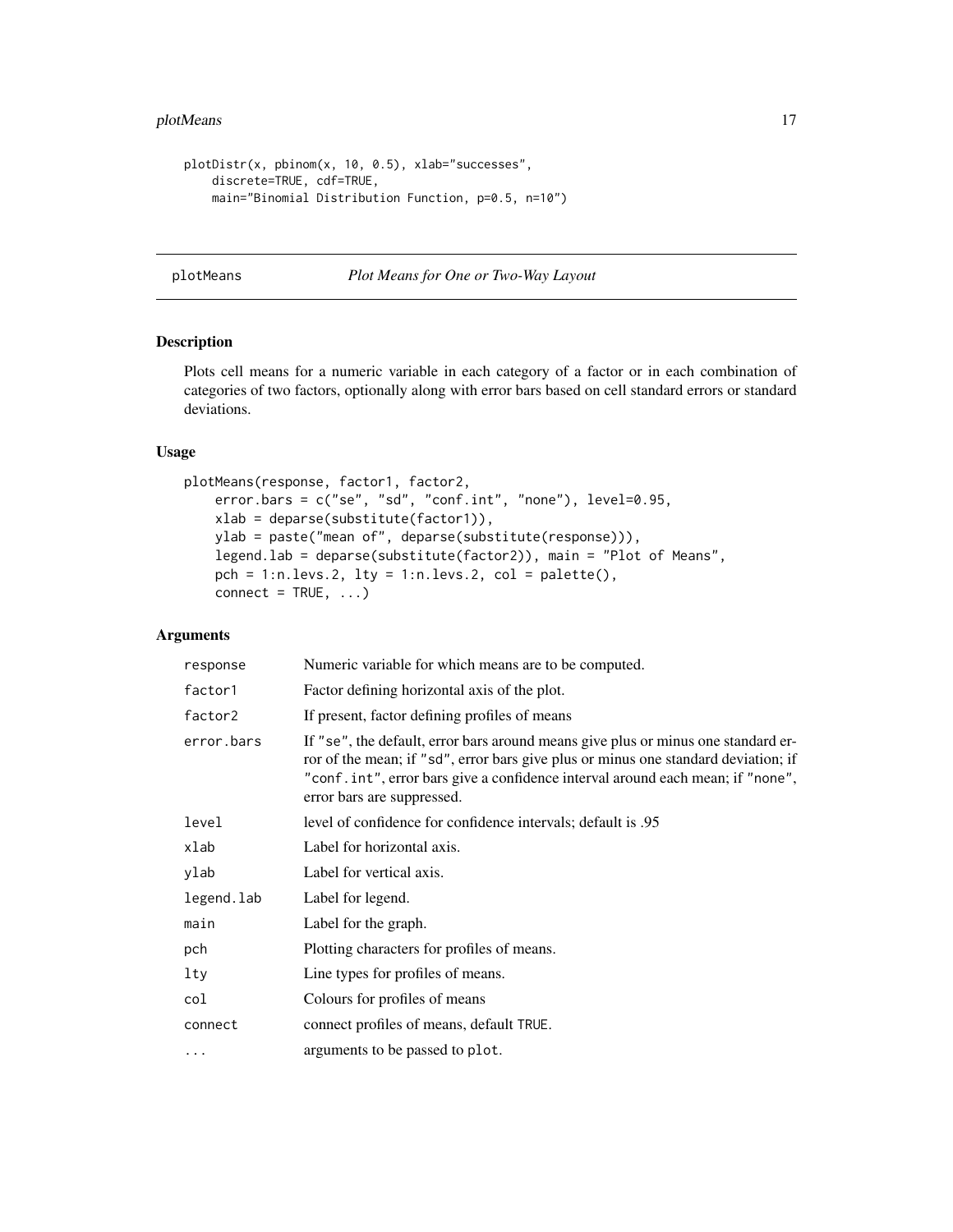### <span id="page-16-0"></span>plotMeans 17

```
plotDistr(x, pbinom(x, 10, 0.5), xlab="successes",
   discrete=TRUE, cdf=TRUE,
   main="Binomial Distribution Function, p=0.5, n=10")
```
#### plotMeans *Plot Means for One or Two-Way Layout*

### Description

Plots cell means for a numeric variable in each category of a factor or in each combination of categories of two factors, optionally along with error bars based on cell standard errors or standard deviations.

#### Usage

```
plotMeans(response, factor1, factor2,
   error.bars = c("se", "sd", "conf.int", "none"), level=0.95,
    xlab = deparse(substitute(factor1)),
   ylab = paste("mean of", deparse(substitute(response))),
    legend.lab = deparse(substitute(factor2)), main = "Plot of Means",
    pch = 1:n.levs.2, lty = 1:n.levs.2, col = palette(),
    connect = TRUE, ...
```

| response   | Numeric variable for which means are to be computed.                                                                                                                                                                                                                                    |
|------------|-----------------------------------------------------------------------------------------------------------------------------------------------------------------------------------------------------------------------------------------------------------------------------------------|
| factor1    | Factor defining horizontal axis of the plot.                                                                                                                                                                                                                                            |
| factor2    | If present, factor defining profiles of means                                                                                                                                                                                                                                           |
| error.bars | If "se", the default, error bars around means give plus or minus one standard er-<br>ror of the mean; if "sd", error bars give plus or minus one standard deviation; if<br>"conf.int", error bars give a confidence interval around each mean; if "none",<br>error bars are suppressed. |
| level      | level of confidence for confidence intervals; default is .95                                                                                                                                                                                                                            |
| xlab       | Label for horizontal axis.                                                                                                                                                                                                                                                              |
| ylab       | Label for vertical axis.                                                                                                                                                                                                                                                                |
| legend.lab | Label for legend.                                                                                                                                                                                                                                                                       |
| main       | Label for the graph.                                                                                                                                                                                                                                                                    |
| pch        | Plotting characters for profiles of means.                                                                                                                                                                                                                                              |
| lty        | Line types for profiles of means.                                                                                                                                                                                                                                                       |
| col        | Colours for profiles of means                                                                                                                                                                                                                                                           |
| connect    | connect profiles of means, default TRUE.                                                                                                                                                                                                                                                |
| $\cdots$   | arguments to be passed to plot.                                                                                                                                                                                                                                                         |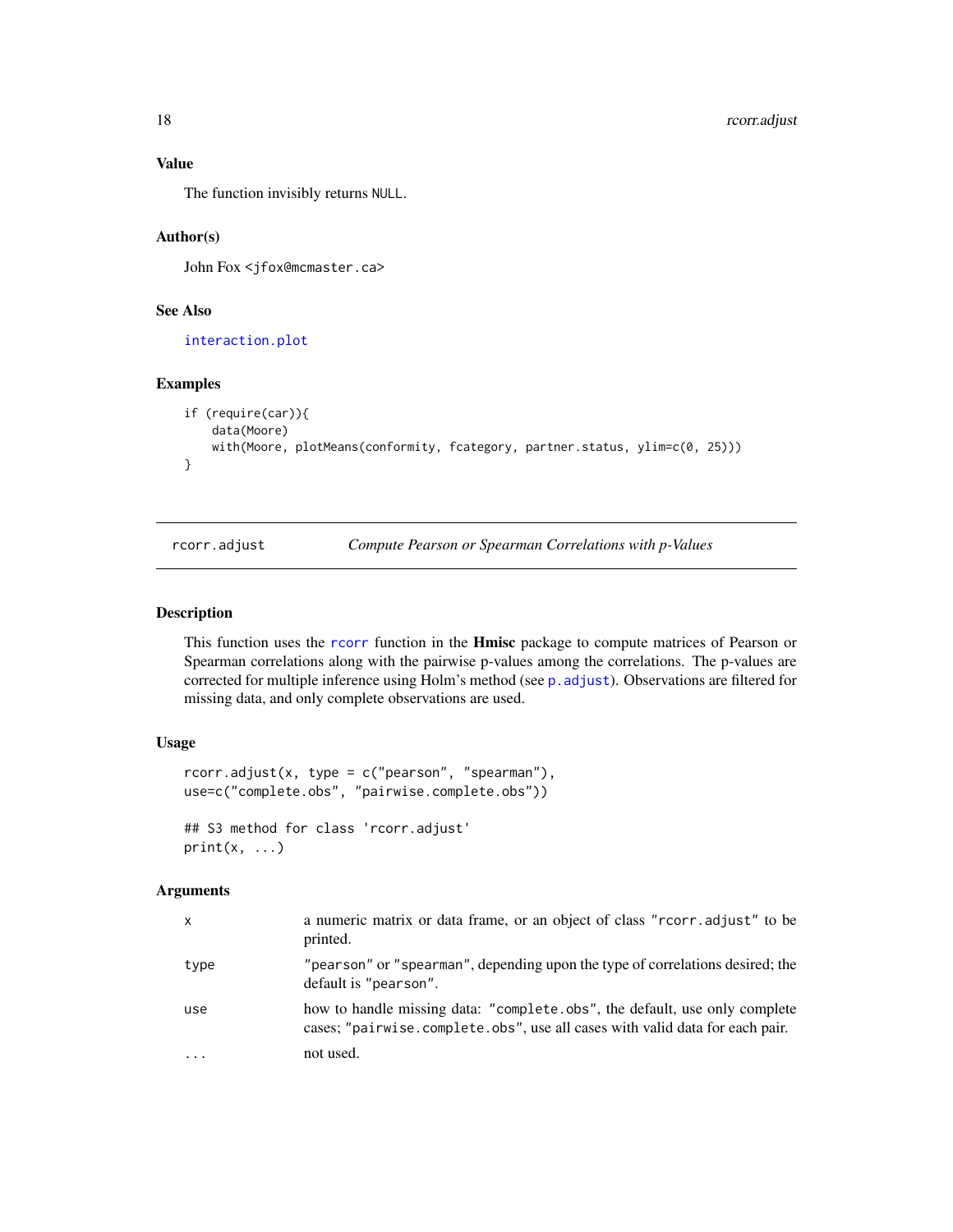#### Value

The function invisibly returns NULL.

#### Author(s)

John Fox <jfox@mcmaster.ca>

#### See Also

[interaction.plot](#page-0-0)

### Examples

```
if (require(car)){
   data(Moore)
   with(Moore, plotMeans(conformity, fcategory, partner.status, ylim=c(0, 25)))
}
```
rcorr.adjust *Compute Pearson or Spearman Correlations with p-Values*

#### Description

This function uses the [rcorr](#page-0-0) function in the **Hmisc** package to compute matrices of Pearson or Spearman correlations along with the pairwise p-values among the correlations. The p-values are corrected for multiple inference using Holm's method (see [p.adjust](#page-0-0)). Observations are filtered for missing data, and only complete observations are used.

#### Usage

```
rcorr.addjust(x, type = c("pearson", "spearman"),use=c("complete.obs", "pairwise.complete.obs"))
## S3 method for class 'rcorr.adjust'
print(x, \ldots)
```

| x        | a numeric matrix or data frame, or an object of class "rcorr.adjust" to be<br>printed.                                                                     |
|----------|------------------------------------------------------------------------------------------------------------------------------------------------------------|
| type     | "pearson" or "spearman", depending upon the type of correlations desired; the<br>default is "pearson".                                                     |
| use      | how to handle missing data: "complete.obs", the default, use only complete<br>cases; "pairwise.complete.obs", use all cases with valid data for each pair. |
| $\cdots$ | not used.                                                                                                                                                  |

<span id="page-17-0"></span>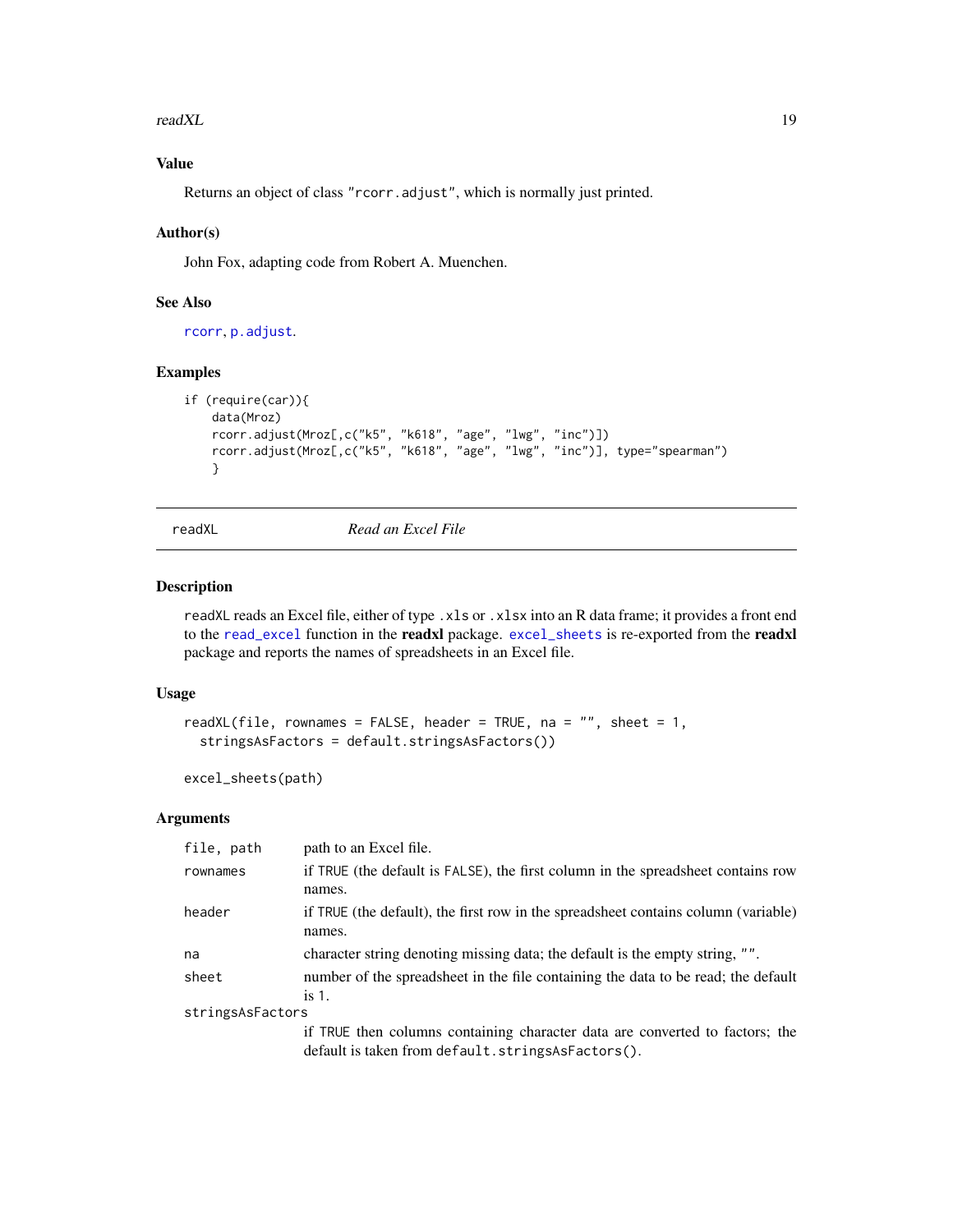<span id="page-18-0"></span>readXL and the contract of the contract of the contract of the contract of the contract of the contract of the contract of the contract of the contract of the contract of the contract of the contract of the contract of the

### Value

Returns an object of class "rcorr.adjust", which is normally just printed.

#### Author(s)

John Fox, adapting code from Robert A. Muenchen.

### See Also

[rcorr](#page-0-0), [p.adjust](#page-0-0).

### Examples

```
if (require(car)){
    data(Mroz)
    rcorr.adjust(Mroz[,c("k5", "k618", "age", "lwg", "inc")])
    rcorr.adjust(Mroz[,c("k5", "k618", "age", "lwg", "inc")], type="spearman")
    }
```
readXL *Read an Excel File*

#### <span id="page-18-1"></span>Description

readXL reads an Excel file, either of type .xls or .xlsx into an R data frame; it provides a front end to the [read\\_excel](#page-0-0) function in the readxl package. [excel\\_sheets](#page-18-1) is re-exported from the readxl package and reports the names of spreadsheets in an Excel file.

#### Usage

```
readXL(file, rownames = FALSE, header = TRUE, na = ", sheet = 1,
 stringsAsFactors = default.stringsAsFactors())
```
excel\_sheets(path)

| file, path       | path to an Excel file.                                                                       |
|------------------|----------------------------------------------------------------------------------------------|
| rownames         | if TRUE (the default is FALSE), the first column in the spreadsheet contains row<br>names.   |
| header           | if TRUE (the default), the first row in the spreadsheet contains column (variable)<br>names. |
| na               | character string denoting missing data; the default is the empty string, "".                 |
| sheet            | number of the spreadsheet in the file containing the data to be read; the default<br>is 1.   |
| stringsAsFactors |                                                                                              |
|                  | if TRUE then columns containing character data are converted to factors; the                 |
|                  | default is taken from default.stringsAsFactors().                                            |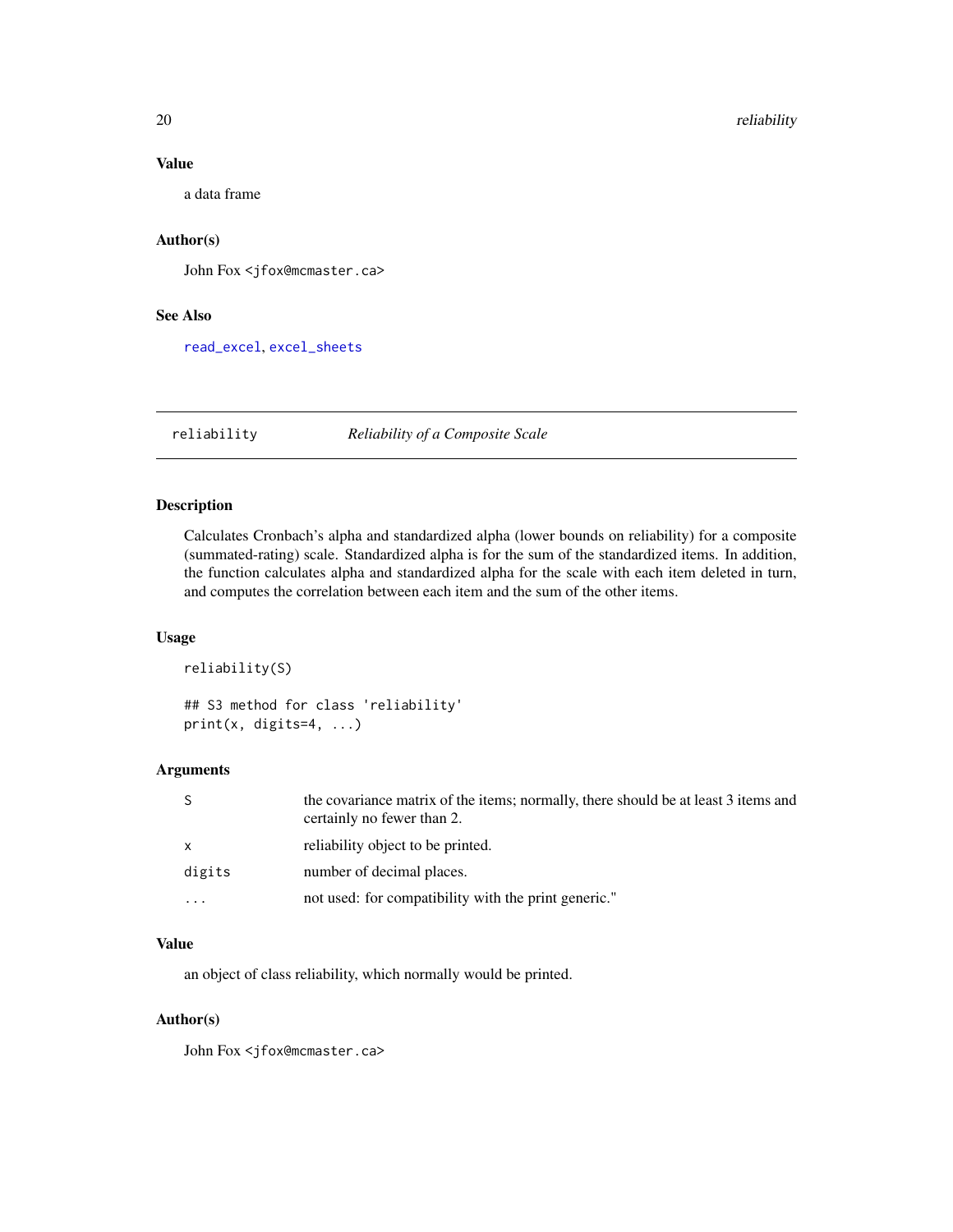#### Value

a data frame

### Author(s)

John Fox <jfox@mcmaster.ca>

### See Also

[read\\_excel](#page-0-0), [excel\\_sheets](#page-18-1)

reliability *Reliability of a Composite Scale*

### Description

Calculates Cronbach's alpha and standardized alpha (lower bounds on reliability) for a composite (summated-rating) scale. Standardized alpha is for the sum of the standardized items. In addition, the function calculates alpha and standardized alpha for the scale with each item deleted in turn, and computes the correlation between each item and the sum of the other items.

### Usage

reliability(S)

## S3 method for class 'reliability' print(x, digits=4, ...)

### Arguments

| S            | the covariance matrix of the items; normally, there should be at least 3 items and<br>certainly no fewer than 2. |
|--------------|------------------------------------------------------------------------------------------------------------------|
| $\mathsf{x}$ | reliability object to be printed.                                                                                |
| digits       | number of decimal places.                                                                                        |
| .            | not used: for compatibility with the print generic."                                                             |

### Value

an object of class reliability, which normally would be printed.

#### Author(s)

<span id="page-19-0"></span>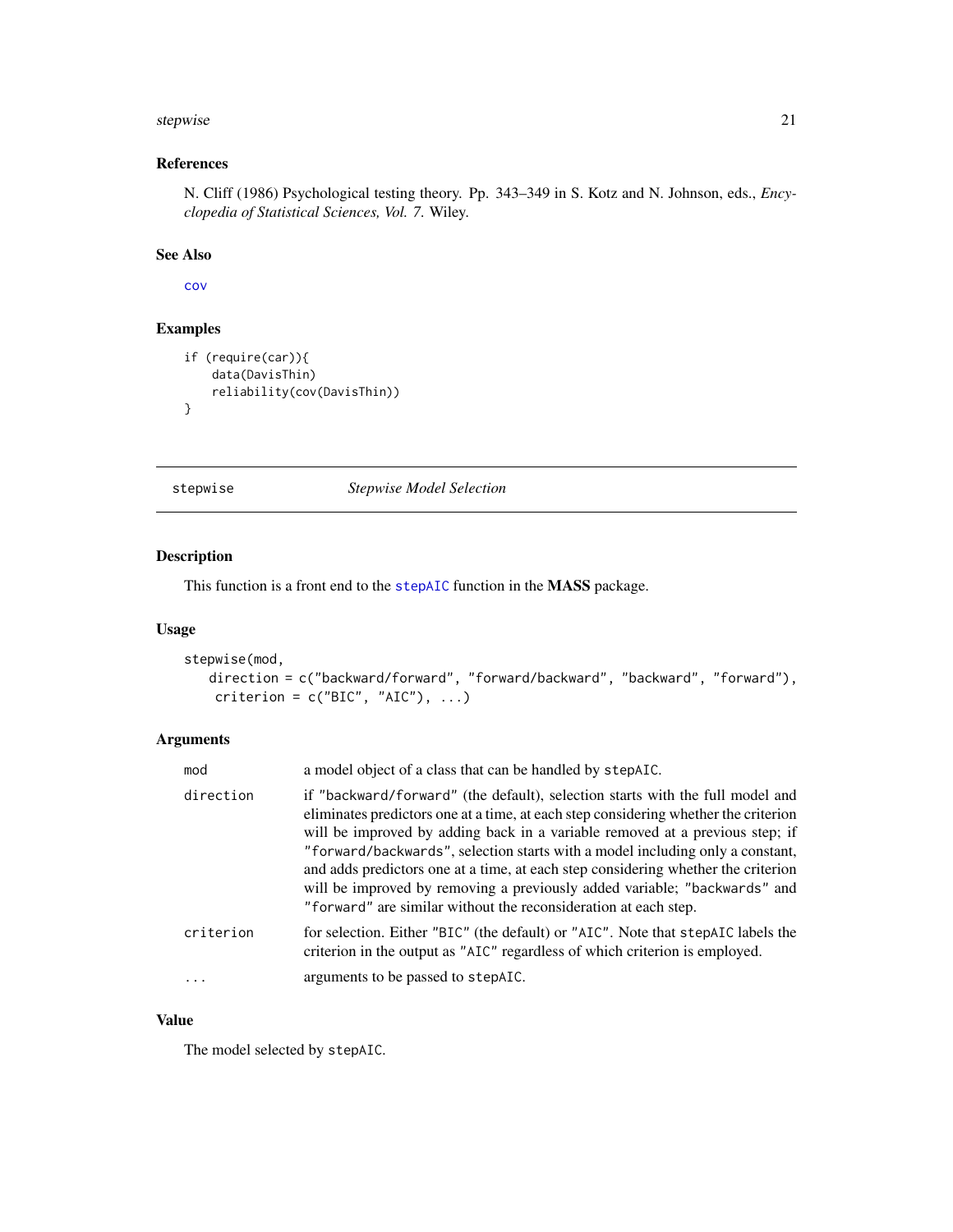#### <span id="page-20-0"></span>stepwise 21

### References

N. Cliff (1986) Psychological testing theory. Pp. 343–349 in S. Kotz and N. Johnson, eds., *Encyclopedia of Statistical Sciences, Vol. 7*. Wiley.

#### See Also

[cov](#page-0-0)

#### Examples

```
if (require(car)){
   data(DavisThin)
   reliability(cov(DavisThin))
}
```
stepwise *Stepwise Model Selection*

### Description

This function is a front end to the [stepAIC](#page-0-0) function in the MASS package.

### Usage

```
stepwise(mod,
   direction = c("backward/forward", "forward/backward", "backward", "forward"),
   criterion = c("BIC", "AIC"), ...
```
### Arguments

| mod       | a model object of a class that can be handled by stepAIC.                                                                                                                                                                                                                                                                                                                                                                                                                                                                                                                  |
|-----------|----------------------------------------------------------------------------------------------------------------------------------------------------------------------------------------------------------------------------------------------------------------------------------------------------------------------------------------------------------------------------------------------------------------------------------------------------------------------------------------------------------------------------------------------------------------------------|
| direction | if "backward/forward" (the default), selection starts with the full model and<br>eliminates predictors one at a time, at each step considering whether the criterion<br>will be improved by adding back in a variable removed at a previous step; if<br>"forward/backwards", selection starts with a model including only a constant,<br>and adds predictors one at a time, at each step considering whether the criterion<br>will be improved by removing a previously added variable; "backwards" and<br>"forward" are similar without the reconsideration at each step. |
| criterion | for selection. Either "BIC" (the default) or "AIC". Note that stepAIC labels the<br>criterion in the output as "AIC" regardless of which criterion is employed.                                                                                                                                                                                                                                                                                                                                                                                                            |
| $\ddots$  | arguments to be passed to stepAIC.                                                                                                                                                                                                                                                                                                                                                                                                                                                                                                                                         |
|           |                                                                                                                                                                                                                                                                                                                                                                                                                                                                                                                                                                            |

### Value

The model selected by stepAIC.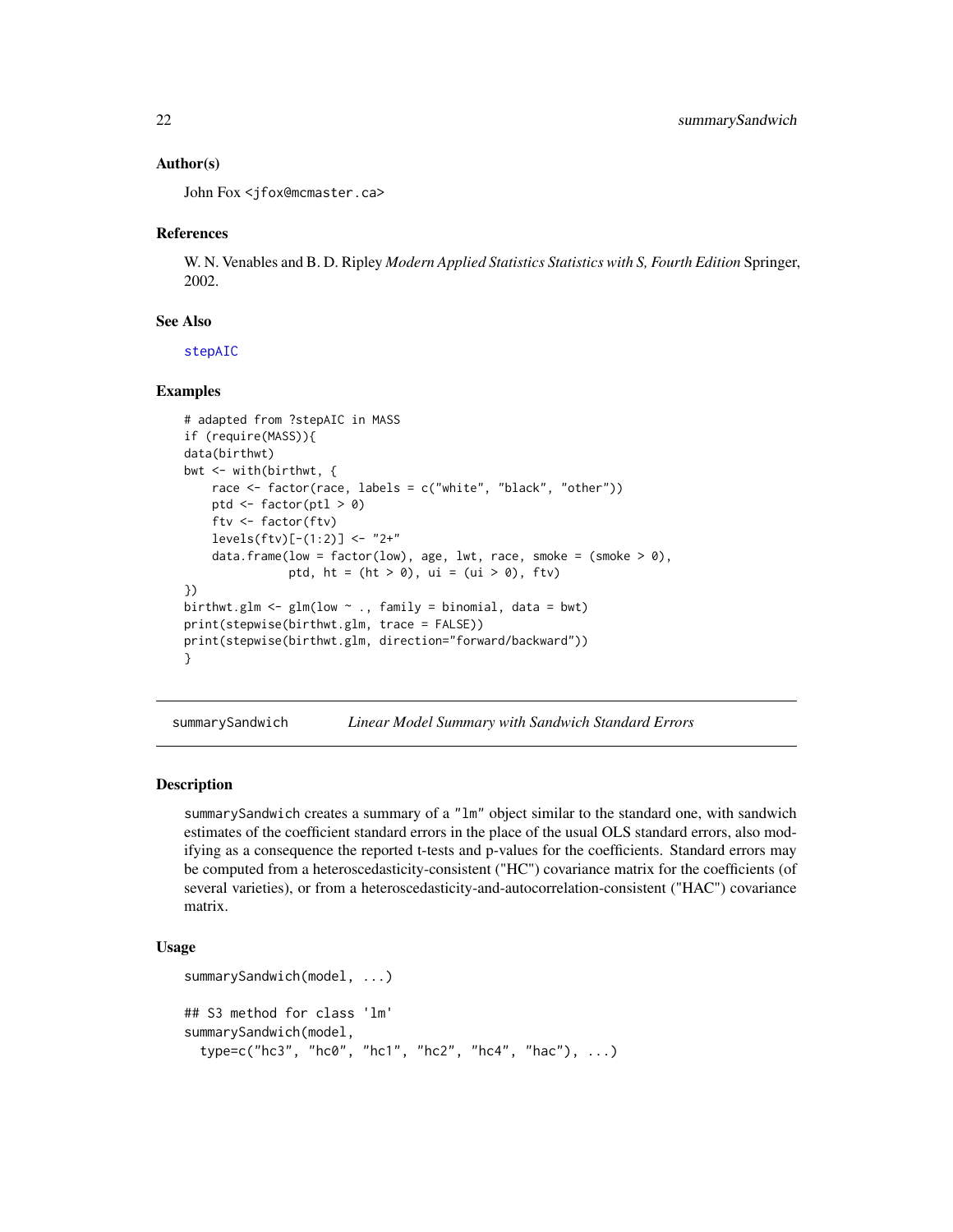#### Author(s)

John Fox <jfox@mcmaster.ca>

#### References

W. N. Venables and B. D. Ripley *Modern Applied Statistics Statistics with S, Fourth Edition* Springer, 2002.

#### See Also

[stepAIC](#page-0-0)

#### Examples

```
# adapted from ?stepAIC in MASS
if (require(MASS)){
data(birthwt)
bwt <- with(birthwt, {
   race <- factor(race, labels = c("white", "black", "other"))
   ptd \le factor(ptl > 0)
    ftv <- factor(ftv)
    levels(ftv)[-(1:2)] <- "2+"
    data.frame(low = factor(low), age, lwt, race, smoke = (smoke > 0),
               ptd, ht = (ht > 0), ui = (ui > 0), ftv)})
birthwt.glm <- glm(low \sim ., family = binomial, data = bwt)
print(stepwise(birthwt.glm, trace = FALSE))
print(stepwise(birthwt.glm, direction="forward/backward"))
}
```
summarySandwich *Linear Model Summary with Sandwich Standard Errors*

#### Description

summarySandwich creates a summary of a "lm" object similar to the standard one, with sandwich estimates of the coefficient standard errors in the place of the usual OLS standard errors, also modifying as a consequence the reported t-tests and p-values for the coefficients. Standard errors may be computed from a heteroscedasticity-consistent ("HC") covariance matrix for the coefficients (of several varieties), or from a heteroscedasticity-and-autocorrelation-consistent ("HAC") covariance matrix.

#### Usage

```
summarySandwich(model, ...)
## S3 method for class 'lm'
summarySandwich(model,
 type=c("hc3", "hc0", "hc1", "hc2", "hc4", "hac"), ...)
```
<span id="page-21-0"></span>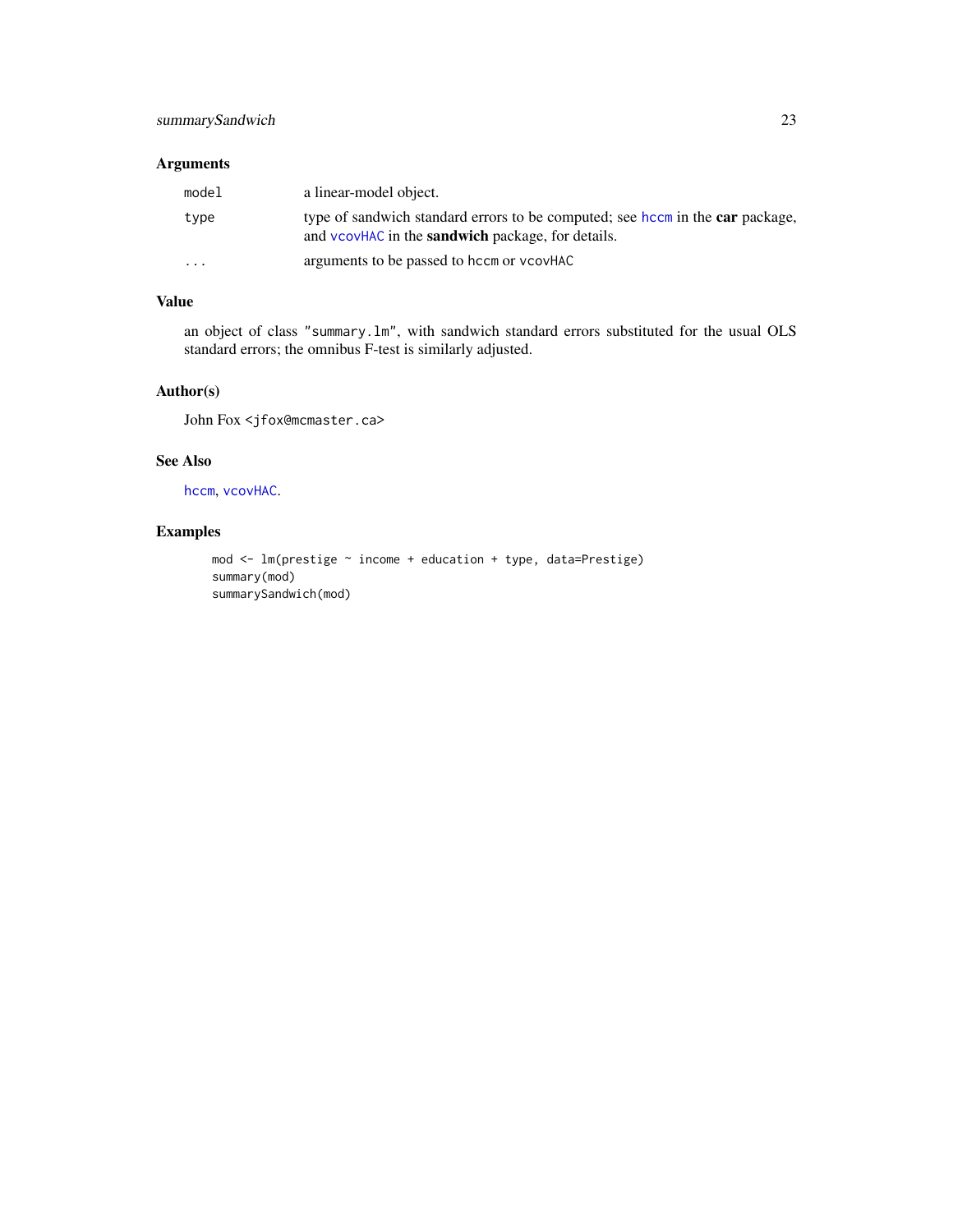### <span id="page-22-0"></span>Arguments

| model                   | a linear-model object.                                                                                                                           |
|-------------------------|--------------------------------------------------------------------------------------------------------------------------------------------------|
| type                    | type of sandwich standard errors to be computed; see hccm in the <b>car</b> package,<br>and vcovHAC in the <b>sandwich</b> package, for details. |
| $\cdot$ $\cdot$ $\cdot$ | arguments to be passed to hccm or vcovHAC                                                                                                        |

### Value

an object of class "summary.lm", with sandwich standard errors substituted for the usual OLS standard errors; the omnibus F-test is similarly adjusted.

### Author(s)

John Fox <jfox@mcmaster.ca>

### See Also

[hccm](#page-0-0), [vcovHAC](#page-0-0).

### Examples

```
mod <- lm(prestige ~ income + education + type, data=Prestige)
summary(mod)
summarySandwich(mod)
```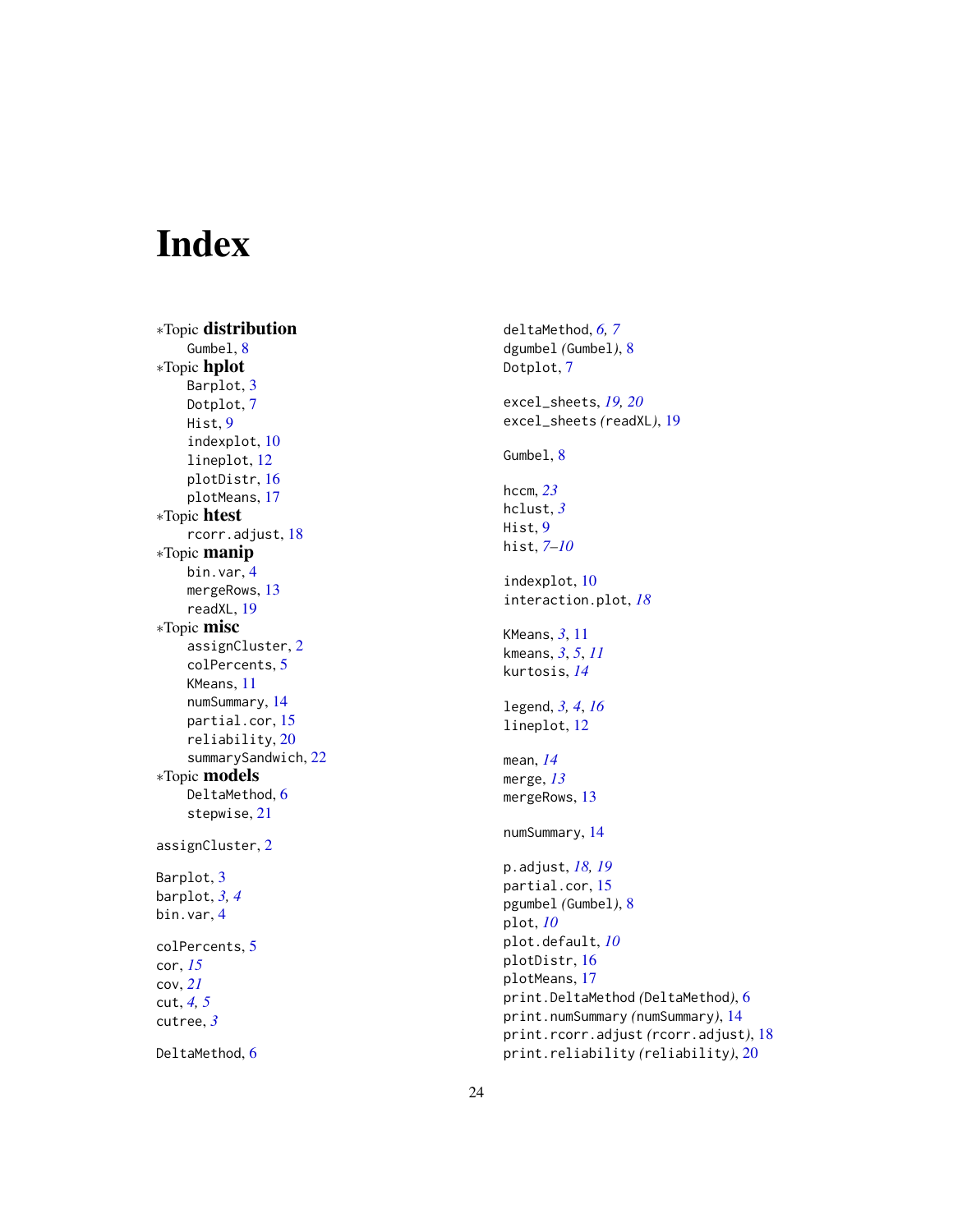# <span id="page-23-0"></span>Index

∗Topic distribution Gumbel, [8](#page-7-0) ∗Topic hplot Barplot , [3](#page-2-0) Dotplot , [7](#page-6-0) Hist , [9](#page-8-0) indexplot , [10](#page-9-0) lineplot , [12](#page-11-0) plotDistr , [16](#page-15-0) plotMeans , [17](#page-16-0) ∗Topic htest rcorr.adjust , [18](#page-17-0) ∗Topic manip bin.var , [4](#page-3-0) mergeRows , [13](#page-12-0) readXL , [19](#page-18-0) ∗Topic misc assignCluster , [2](#page-1-0) colPercents , [5](#page-4-0) KMeans , [11](#page-10-0) numSummary , [14](#page-13-0) partial.cor , [15](#page-14-0) reliability , [20](#page-19-0) summarySandwich , [22](#page-21-0) ∗Topic models DeltaMethod, [6](#page-5-0) stepwise , [21](#page-20-0) assignCluster , [2](#page-1-0) Barplot, [3](#page-2-0) barplot , *[3](#page-2-0) , [4](#page-3-0)* bin.var , [4](#page-3-0) colPercents , [5](#page-4-0) cor , *[15](#page-14-0)* cov , *[21](#page-20-0)* cut , *[4](#page-3-0) , [5](#page-4-0)* cutree , *[3](#page-2-0)* DeltaMethod, [6](#page-5-0)

deltaMethod , *[6,](#page-5-0) [7](#page-6-0)* dgumbel *(*Gumbel *)* , [8](#page-7-0) Dotplot , [7](#page-6-0) excel\_sheets , *[19](#page-18-0) , [20](#page-19-0)* excel\_sheets *(*readXL *)* , [19](#page-18-0) Gumbel, <mark>[8](#page-7-0)</mark> hccm , *[23](#page-22-0)* hclust , *[3](#page-2-0)* Hist , [9](#page-8-0) hist , *[7–](#page-6-0)[10](#page-9-0)* indexplot , [10](#page-9-0) interaction.plot , *[18](#page-17-0)* KMeans , *[3](#page-2-0)* , [11](#page-10-0) kmeans , *[3](#page-2-0)* , *[5](#page-4-0)* , *[11](#page-10-0)* kurtosis , *[14](#page-13-0)* legend , *[3](#page-2-0) , [4](#page-3-0)* , *[16](#page-15-0)* lineplot , [12](#page-11-0) mean , *[14](#page-13-0)* merge , *[13](#page-12-0)* mergeRows , [13](#page-12-0) numSummary , [14](#page-13-0) p.adjust , *[18](#page-17-0) , [19](#page-18-0)* partial.cor , [15](#page-14-0) pgumbel *(*Gumbel *)* , [8](#page-7-0) plot , *[10](#page-9-0)* plot.default , *[10](#page-9-0)* plotDistr , [16](#page-15-0) plotMeans , [17](#page-16-0) print.DeltaMethod *(*DeltaMethod *)* , [6](#page-5-0) print.numSummary *(*numSummary *)* , [14](#page-13-0) print.rcorr.adjust *(*rcorr.adjust *)* , [18](#page-17-0) print.reliability *(*reliability *)* , [20](#page-19-0)